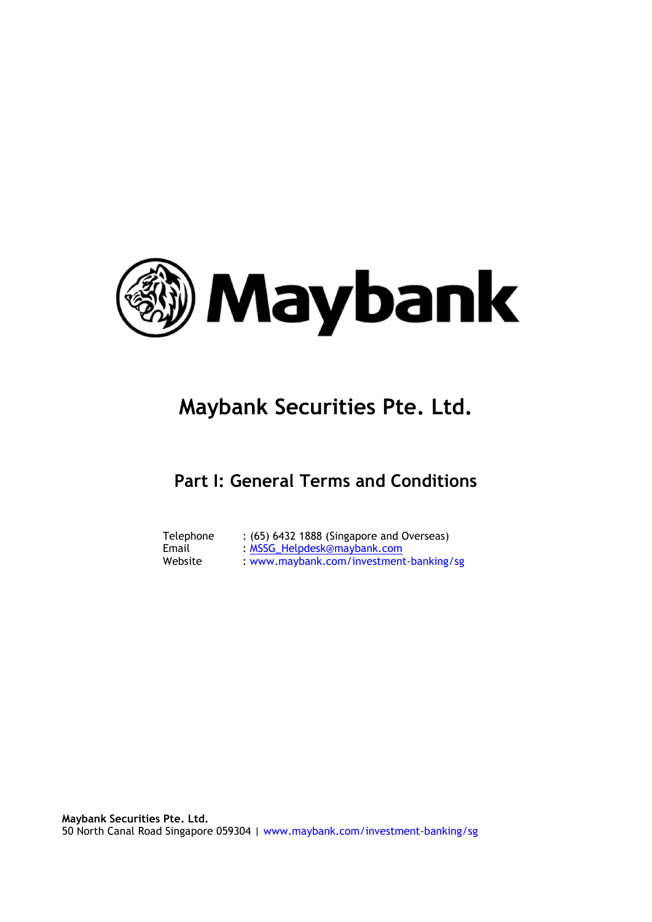

# **Maybank Securities Pte. Ltd.**

# **Part I: General Terms and Conditions**

| Telephone | : (65) 6432 1888 (Singapore and Overseas) |
|-----------|-------------------------------------------|
| Email     | : MSSG_Helpdesk@maybank.com               |
| Website   | : www.maybank.com/investment-banking/sg   |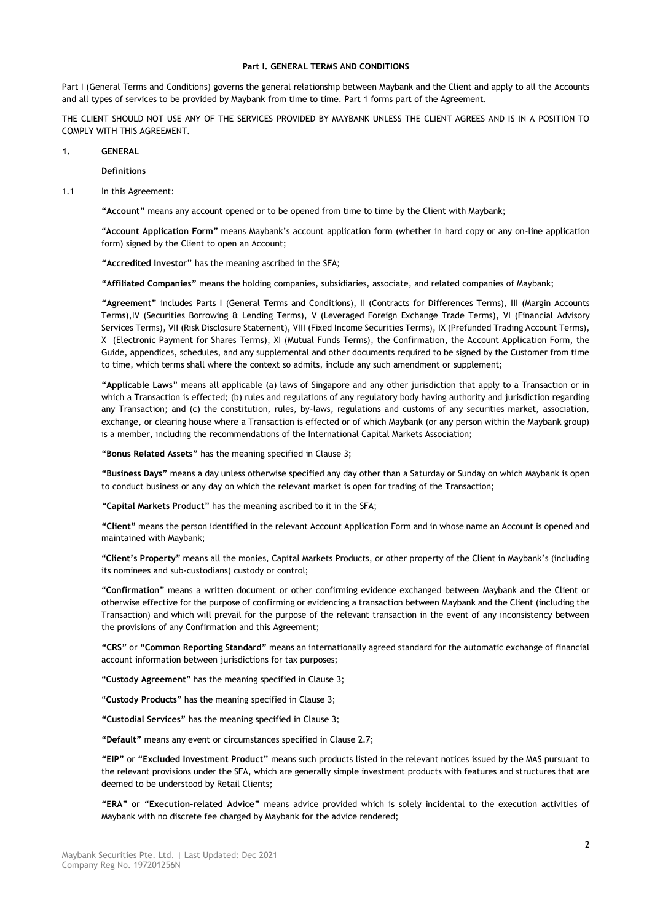#### **Part I. GENERAL TERMS AND CONDITIONS**

Part I (General Terms and Conditions) governs the general relationship between Maybank and the Client and apply to all the Accounts and all types of services to be provided by Maybank from time to time. Part 1 forms part of the Agreement.

THE CLIENT SHOULD NOT USE ANY OF THE SERVICES PROVIDED BY MAYBANK UNLESS THE CLIENT AGREES AND IS IN A POSITION TO COMPLY WITH THIS AGREEMENT.

# **1. GENERAL**

**Definitions** 

#### 1.1 In this Agreement:

**"Account"** means any account opened or to be opened from time to time by the Client with Maybank;

"**Account Application Form**" means Maybank's account application form (whether in hard copy or any on-line application form) signed by the Client to open an Account;

**"Accredited Investor"** has the meaning ascribed in the SFA;

**"Affiliated Companies"** means the holding companies, subsidiaries, associate, and related companies of Maybank;

**"Agreement"** includes Parts I (General Terms and Conditions), II (Contracts for Differences Terms), III (Margin Accounts Terms),IV (Securities Borrowing & Lending Terms), V (Leveraged Foreign Exchange Trade Terms), VI (Financial Advisory Services Terms), VII (Risk Disclosure Statement), VIII (Fixed Income Securities Terms), IX (Prefunded Trading Account Terms), X (Electronic Payment for Shares Terms), XI (Mutual Funds Terms), the Confirmation, the Account Application Form, the Guide, appendices, schedules, and any supplemental and other documents required to be signed by the Customer from time to time, which terms shall where the context so admits, include any such amendment or supplement;

**"Applicable Laws"** means all applicable (a) laws of Singapore and any other jurisdiction that apply to a Transaction or in which a Transaction is effected; (b) rules and regulations of any regulatory body having authority and jurisdiction regarding any Transaction; and (c) the constitution, rules, by-laws, regulations and customs of any securities market, association, exchange, or clearing house where a Transaction is effected or of which Maybank (or any person within the Maybank group) is a member, including the recommendations of the International Capital Markets Association;

**"Bonus Related Assets"** has the meaning specified in Clause [3;](#page-19-0)

**"Business Days"** means a day unless otherwise specified any day other than a Saturday or Sunday on which Maybank is open to conduct business or any day on which the relevant market is open for trading of the Transaction;

*"***Capital Markets Product"** has the meaning ascribed to it in the SFA;

**"Client"** means the person identified in the relevant Account Application Form and in whose name an Account is opened and maintained with Maybank;

"**Client's Property**" means all the monies, Capital Markets Products, or other property of the Client in Maybank's (including its nominees and sub-custodians) custody or control;

"**Confirmation**" means a written document or other confirming evidence exchanged between Maybank and the Client or otherwise effective for the purpose of confirming or evidencing a transaction between Maybank and the Client (including the Transaction) and which will prevail for the purpose of the relevant transaction in the event of any inconsistency between the provisions of any Confirmation and this Agreement;

**"CRS"** or **"Common Reporting Standard"** means an internationally agreed standard for the automatic exchange of financial account information between jurisdictions for tax purposes;

"**Custody Agreement**" has the meaning specified in Clause [3;](#page-19-0)

"**Custody Products**" has the meaning specified in Clause [3;](#page-19-0)

**"Custodial Services"** has the meaning specified in Clause [3;](#page-19-0)

**"Default"** means any event or circumstances specified in Clause 2.7;

**"EIP"** or **"Excluded Investment Product"** means such products listed in the relevant notices issued by the MAS pursuant to the relevant provisions under the SFA, which are generally simple investment products with features and structures that are deemed to be understood by Retail Clients;

**"ERA"** or **"Execution-related Advice"** means advice provided which is solely incidental to the execution activities of Maybank with no discrete fee charged by Maybank for the advice rendered;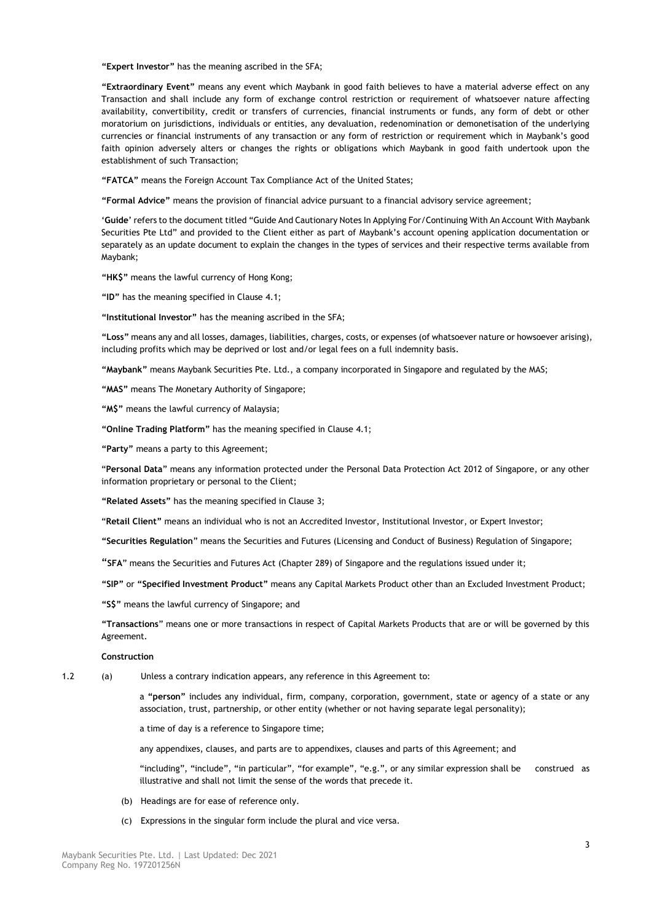**"Expert Investor"** has the meaning ascribed in the SFA;

**"Extraordinary Event"** means any event which Maybank in good faith believes to have a material adverse effect on any Transaction and shall include any form of exchange control restriction or requirement of whatsoever nature affecting availability, convertibility, credit or transfers of currencies, financial instruments or funds, any form of debt or other moratorium on jurisdictions, individuals or entities, any devaluation, redenomination or demonetisation of the underlying currencies or financial instruments of any transaction or any form of restriction or requirement which in Maybank's good faith opinion adversely alters or changes the rights or obligations which Maybank in good faith undertook upon the establishment of such Transaction;

**"FATCA"** means the Foreign Account Tax Compliance Act of the United States;

**"Formal Advice"** means the provision of financial advice pursuant to a financial advisory service agreement;

'**Guide**' refers to the document titled "Guide And Cautionary Notes In Applying For/Continuing With An Account With Maybank Securities Pte Ltd" and provided to the Client either as part of Maybank's account opening application documentation or separately as an update document to explain the changes in the types of services and their respective terms available from Maybank;

**"HK\$"** means the lawful currency of Hong Kong;

**"ID"** has the meaning specified in Claus[e 4.1;](#page-22-0)

**"Institutional Investor"** has the meaning ascribed in the SFA;

**"Loss"** means any and all losses, damages, liabilities, charges, costs, or expenses (of whatsoever nature or howsoever arising), including profits which may be deprived or lost and/or legal fees on a full indemnity basis.

**"Maybank"** means Maybank Securities Pte. Ltd., a company incorporated in Singapore and regulated by the MAS;

**"MAS"** means The Monetary Authority of Singapore;

**"M\$"** means the lawful currency of Malaysia;

**"Online Trading Platform"** has the meaning specified in Clause [4.1;](#page-22-0)

**"Party"** means a party to this Agreement;

"**Personal Data**" means any information protected under the Personal Data Protection Act 2012 of Singapore, or any other information proprietary or personal to the Client;

**"Related Assets"** has the meaning specified in Clause [3;](#page-19-0)

"**Retail Client"** means an individual who is not an Accredited Investor, Institutional Investor, or Expert Investor;

**"Securities Regulation**" means the Securities and Futures (Licensing and Conduct of Business) Regulation of Singapore;

"**SFA**" means the Securities and Futures Act (Chapter 289) of Singapore and the regulations issued under it;

**"SIP"** or **"Specified Investment Product"** means any Capital Markets Product other than an Excluded Investment Product;

**"S\$"** means the lawful currency of Singapore; and

**"Transactions**" means one or more transactions in respect of Capital Markets Products that are or will be governed by this Agreement.

#### **Construction**

1.2 (a) Unless a contrary indication appears, any reference in this Agreement to:

a **"person"** includes any individual, firm, company, corporation, government, state or agency of a state or any association, trust, partnership, or other entity (whether or not having separate legal personality);

a time of day is a reference to Singapore time;

any appendixes, clauses, and parts are to appendixes, clauses and parts of this Agreement; and

"including", "include", "in particular", "for example", "e.g.", or any similar expression shall be construed as illustrative and shall not limit the sense of the words that precede it.

- (b) Headings are for ease of reference only.
- (c) Expressions in the singular form include the plural and vice versa.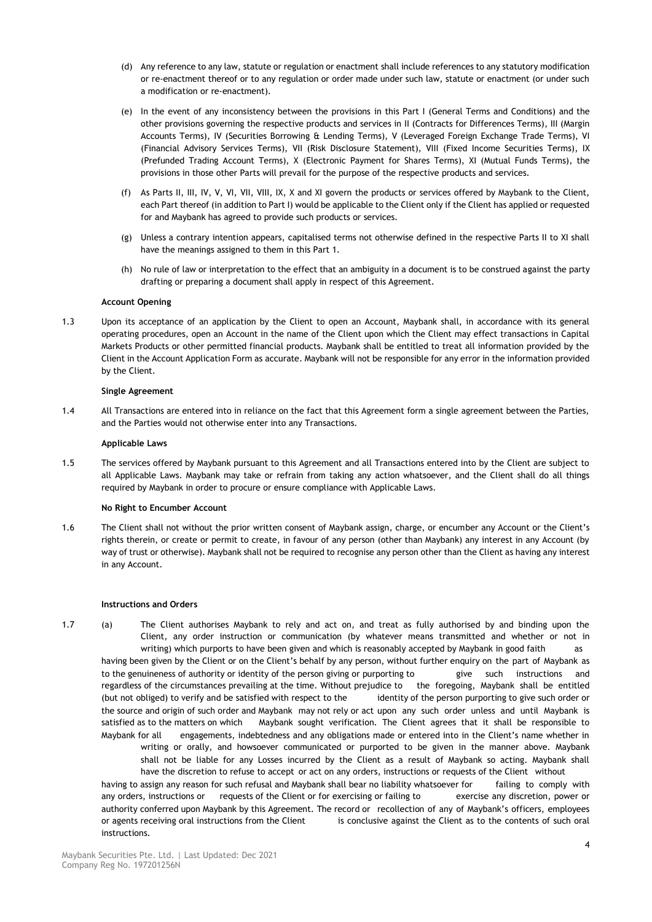- (d) Any reference to any law, statute or regulation or enactment shall include references to any statutory modification or re-enactment thereof or to any regulation or order made under such law, statute or enactment (or under such a modification or re-enactment).
- (e) In the event of any inconsistency between the provisions in this Part I (General Terms and Conditions) and the other provisions governing the respective products and services in II (Contracts for Differences Terms), III (Margin Accounts Terms), IV (Securities Borrowing & Lending Terms), V (Leveraged Foreign Exchange Trade Terms), VI (Financial Advisory Services Terms), VII (Risk Disclosure Statement), VIII (Fixed Income Securities Terms), IX (Prefunded Trading Account Terms), X (Electronic Payment for Shares Terms), XI (Mutual Funds Terms), the provisions in those other Parts will prevail for the purpose of the respective products and services.
- (f) As Parts II, III, IV, V, VI, VII, VIII, IX, X and XI govern the products or services offered by Maybank to the Client, each Part thereof (in addition to Part I) would be applicable to the Client only if the Client has applied or requested for and Maybank has agreed to provide such products or services.
- (g) Unless a contrary intention appears, capitalised terms not otherwise defined in the respective Parts II to XI shall have the meanings assigned to them in this Part 1.
- (h) No rule of law or interpretation to the effect that an ambiguity in a document is to be construed against the party drafting or preparing a document shall apply in respect of this Agreement.

# **Account Opening**

1.3 Upon its acceptance of an application by the Client to open an Account, Maybank shall, in accordance with its general operating procedures, open an Account in the name of the Client upon which the Client may effect transactions in Capital Markets Products or other permitted financial products. Maybank shall be entitled to treat all information provided by the Client in the Account Application Form as accurate. Maybank will not be responsible for any error in the information provided by the Client.

# **Single Agreement**

1.4 All Transactions are entered into in reliance on the fact that this Agreement form a single agreement between the Parties, and the Parties would not otherwise enter into any Transactions.

# **Applicable Laws**

1.5 The services offered by Maybank pursuant to this Agreement and all Transactions entered into by the Client are subject to all Applicable Laws. Maybank may take or refrain from taking any action whatsoever, and the Client shall do all things required by Maybank in order to procure or ensure compliance with Applicable Laws.

# **No Right to Encumber Account**

1.6 The Client shall not without the prior written consent of Maybank assign, charge, or encumber any Account or the Client's rights therein, or create or permit to create, in favour of any person (other than Maybank) any interest in any Account (by way of trust or otherwise). Maybank shall not be required to recognise any person other than the Client as having any interest in any Account.

# **Instructions and Orders**

<span id="page-3-0"></span>1.7 (a) The Client authorises Maybank to rely and act on, and treat as fully authorised by and binding upon the Client, any order instruction or communication (by whatever means transmitted and whether or not in writing) which purports to have been given and which is reasonably accepted by Maybank in good faith as having been given by the Client or on the Client's behalf by any person, without further enquiry on the part of Maybank as

to the genuineness of authority or identity of the person giving or purporting to give such instructions and regardless of the circumstances prevailing at the time. Without prejudice to the foregoing, Maybank shall be entitled (but not obliged) to verify and be satisfied with respect to the identity of the person purporting to give such order or the source and origin of such order and Maybank may not rely or act upon any such order unless and until Maybank is satisfied as to the matters on which Maybank sought verification. The Client agrees that it shall be responsible to Maybank for all engagements, indebtedness and any obligations made or entered into in the Client's name whether in writing or orally, and howsoever communicated or purported to be given in the manner above. Maybank shall not be liable for any Losses incurred by the Client as a result of Maybank so acting. Maybank shall

have the discretion to refuse to accept or act on any orders, instructions or requests of the Client without having to assign any reason for such refusal and Maybank shall bear no liability whatsoever for failing to comply with any orders, instructions or requests of the Client or for exercising or failing to exercise any discretion, power or authority conferred upon Maybank by this Agreement. The record or recollection of any of Maybank's officers, employees or agents receiving oral instructions from the Client is conclusive against the Client as to the contents of such oral instructions.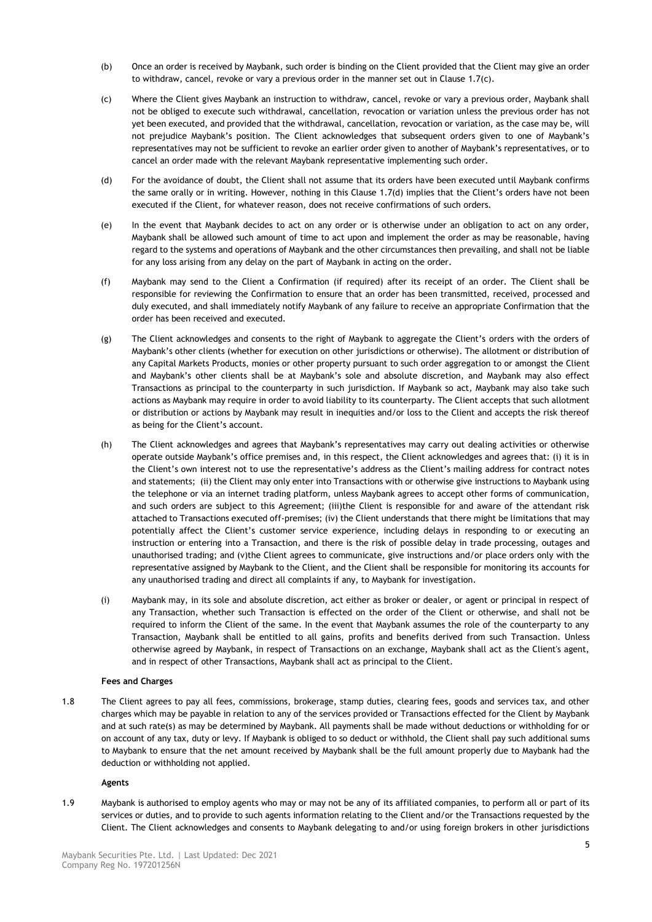- (b) Once an order is received by Maybank, such order is binding on the Client provided that the Client may give an order to withdraw, cancel, revoke or vary a previous order in the manner set out in Claus[e 1.7\(](#page-3-0)c).
- (c) Where the Client gives Maybank an instruction to withdraw, cancel, revoke or vary a previous order, Maybank shall not be obliged to execute such withdrawal, cancellation, revocation or variation unless the previous order has not yet been executed, and provided that the withdrawal, cancellation, revocation or variation, as the case may be, will not prejudice Maybank's position. The Client acknowledges that subsequent orders given to one of Maybank's representatives may not be sufficient to revoke an earlier order given to another of Maybank's representatives, or to cancel an order made with the relevant Maybank representative implementing such order.
- (d) For the avoidance of doubt, the Client shall not assume that its orders have been executed until Maybank confirms the same orally or in writing. However, nothing in this Clause [1.7\(](#page-3-0)d) implies that the Client's orders have not been executed if the Client, for whatever reason, does not receive confirmations of such orders.
- (e) In the event that Maybank decides to act on any order or is otherwise under an obligation to act on any order, Maybank shall be allowed such amount of time to act upon and implement the order as may be reasonable, having regard to the systems and operations of Maybank and the other circumstances then prevailing, and shall not be liable for any loss arising from any delay on the part of Maybank in acting on the order.
- (f) Maybank may send to the Client a Confirmation (if required) after its receipt of an order. The Client shall be responsible for reviewing the Confirmation to ensure that an order has been transmitted, received, processed and duly executed, and shall immediately notify Maybank of any failure to receive an appropriate Confirmation that the order has been received and executed.
- (g) The Client acknowledges and consents to the right of Maybank to aggregate the Client's orders with the orders of Maybank's other clients (whether for execution on other jurisdictions or otherwise). The allotment or distribution of any Capital Markets Products, monies or other property pursuant to such order aggregation to or amongst the Client and Maybank's other clients shall be at Maybank's sole and absolute discretion, and Maybank may also effect Transactions as principal to the counterparty in such jurisdiction. If Maybank so act, Maybank may also take such actions as Maybank may require in order to avoid liability to its counterparty. The Client accepts that such allotment or distribution or actions by Maybank may result in inequities and/or loss to the Client and accepts the risk thereof as being for the Client's account.
- (h) The Client acknowledges and agrees that Maybank's representatives may carry out dealing activities or otherwise operate outside Maybank's office premises and, in this respect, the Client acknowledges and agrees that: (i) it is in the Client's own interest not to use the representative's address as the Client's mailing address for contract notes and statements; (ii) the Client may only enter into Transactions with or otherwise give instructions to Maybank using the telephone or via an internet trading platform, unless Maybank agrees to accept other forms of communication, and such orders are subject to this Agreement; (iii)the Client is responsible for and aware of the attendant risk attached to Transactions executed off-premises; (iv) the Client understands that there might be limitations that may potentially affect the Client's customer service experience, including delays in responding to or executing an instruction or entering into a Transaction, and there is the risk of possible delay in trade processing, outages and unauthorised trading; and (v)the Client agrees to communicate, give instructions and/or place orders only with the representative assigned by Maybank to the Client, and the Client shall be responsible for monitoring its accounts for any unauthorised trading and direct all complaints if any, to Maybank for investigation.
- (i) Maybank may, in its sole and absolute discretion, act either as broker or dealer, or agent or principal in respect of any Transaction, whether such Transaction is effected on the order of the Client or otherwise, and shall not be required to inform the Client of the same. In the event that Maybank assumes the role of the counterparty to any Transaction, Maybank shall be entitled to all gains, profits and benefits derived from such Transaction. Unless otherwise agreed by Maybank, in respect of Transactions on an exchange, Maybank shall act as the Client's agent, and in respect of other Transactions, Maybank shall act as principal to the Client.

# **Fees and Charges**

1.8 The Client agrees to pay all fees, commissions, brokerage, stamp duties, clearing fees, goods and services tax, and other charges which may be payable in relation to any of the services provided or Transactions effected for the Client by Maybank and at such rate(s) as may be determined by Maybank. All payments shall be made without deductions or withholding for or on account of any tax, duty or levy. If Maybank is obliged to so deduct or withhold, the Client shall pay such additional sums to Maybank to ensure that the net amount received by Maybank shall be the full amount properly due to Maybank had the deduction or withholding not applied.

# **Agents**

<span id="page-4-0"></span>1.9 Maybank is authorised to employ agents who may or may not be any of its affiliated companies, to perform all or part of its services or duties, and to provide to such agents information relating to the Client and/or the Transactions requested by the Client. The Client acknowledges and consents to Maybank delegating to and/or using foreign brokers in other jurisdictions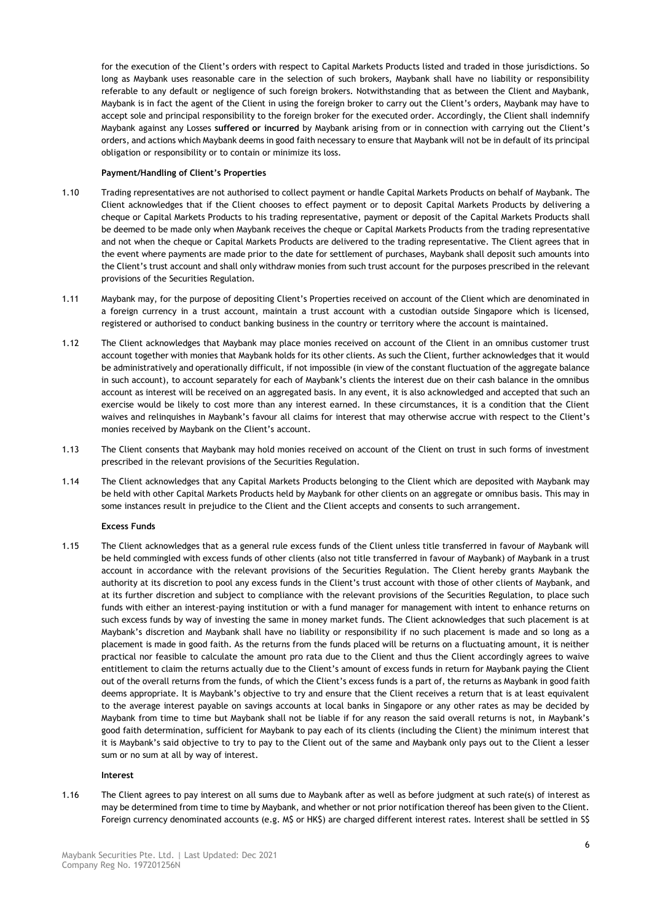for the execution of the Client's orders with respect to Capital Markets Products listed and traded in those jurisdictions. So long as Maybank uses reasonable care in the selection of such brokers, Maybank shall have no liability or responsibility referable to any default or negligence of such foreign brokers. Notwithstanding that as between the Client and Maybank, Maybank is in fact the agent of the Client in using the foreign broker to carry out the Client's orders, Maybank may have to accept sole and principal responsibility to the foreign broker for the executed order. Accordingly, the Client shall indemnify Maybank against any Losses **suffered or incurred** by Maybank arising from or in connection with carrying out the Client's orders, and actions which Maybank deems in good faith necessary to ensure that Maybank will not be in default of its principal obligation or responsibility or to contain or minimize its loss.

# **Payment/Handling of Client's Properties**

- 1.10 Trading representatives are not authorised to collect payment or handle Capital Markets Products on behalf of Maybank. The Client acknowledges that if the Client chooses to effect payment or to deposit Capital Markets Products by delivering a cheque or Capital Markets Products to his trading representative, payment or deposit of the Capital Markets Products shall be deemed to be made only when Maybank receives the cheque or Capital Markets Products from the trading representative and not when the cheque or Capital Markets Products are delivered to the trading representative. The Client agrees that in the event where payments are made prior to the date for settlement of purchases, Maybank shall deposit such amounts into the Client's trust account and shall only withdraw monies from such trust account for the purposes prescribed in the relevant provisions of the Securities Regulation.
- 1.11 Maybank may, for the purpose of depositing Client's Properties received on account of the Client which are denominated in a foreign currency in a trust account, maintain a trust account with a custodian outside Singapore which is licensed, registered or authorised to conduct banking business in the country or territory where the account is maintained.
- 1.12 The Client acknowledges that Maybank may place monies received on account of the Client in an omnibus customer trust account together with monies that Maybank holds for its other clients. As such the Client, further acknowledges that it would be administratively and operationally difficult, if not impossible (in view of the constant fluctuation of the aggregate balance in such account), to account separately for each of Maybank's clients the interest due on their cash balance in the omnibus account as interest will be received on an aggregated basis. In any event, it is also acknowledged and accepted that such an exercise would be likely to cost more than any interest earned. In these circumstances, it is a condition that the Client waives and relinquishes in Maybank's favour all claims for interest that may otherwise accrue with respect to the Client's monies received by Maybank on the Client's account.
- 1.13 The Client consents that Maybank may hold monies received on account of the Client on trust in such forms of investment prescribed in the relevant provisions of the Securities Regulation.
- 1.14 The Client acknowledges that any Capital Markets Products belonging to the Client which are deposited with Maybank may be held with other Capital Markets Products held by Maybank for other clients on an aggregate or omnibus basis. This may in some instances result in prejudice to the Client and the Client accepts and consents to such arrangement.

# **Excess Funds**

1.15 The Client acknowledges that as a general rule excess funds of the Client unless title transferred in favour of Maybank will be held commingled with excess funds of other clients (also not title transferred in favour of Maybank) of Maybank in a trust account in accordance with the relevant provisions of the Securities Regulation. The Client hereby grants Maybank the authority at its discretion to pool any excess funds in the Client's trust account with those of other clients of Maybank, and at its further discretion and subject to compliance with the relevant provisions of the Securities Regulation, to place such funds with either an interest-paying institution or with a fund manager for management with intent to enhance returns on such excess funds by way of investing the same in money market funds. The Client acknowledges that such placement is at Maybank's discretion and Maybank shall have no liability or responsibility if no such placement is made and so long as a placement is made in good faith. As the returns from the funds placed will be returns on a fluctuating amount, it is neither practical nor feasible to calculate the amount pro rata due to the Client and thus the Client accordingly agrees to waive entitlement to claim the returns actually due to the Client's amount of excess funds in return for Maybank paying the Client out of the overall returns from the funds, of which the Client's excess funds is a part of, the returns as Maybank in good faith deems appropriate. It is Maybank's objective to try and ensure that the Client receives a return that is at least equivalent to the average interest payable on savings accounts at local banks in Singapore or any other rates as may be decided by Maybank from time to time but Maybank shall not be liable if for any reason the said overall returns is not, in Maybank's good faith determination, sufficient for Maybank to pay each of its clients (including the Client) the minimum interest that it is Maybank's said objective to try to pay to the Client out of the same and Maybank only pays out to the Client a lesser sum or no sum at all by way of interest.

# **Interest**

1.16 The Client agrees to pay interest on all sums due to Maybank after as well as before judgment at such rate(s) of interest as may be determined from time to time by Maybank, and whether or not prior notification thereof has been given to the Client. Foreign currency denominated accounts (e.g. M\$ or HK\$) are charged different interest rates. Interest shall be settled in S\$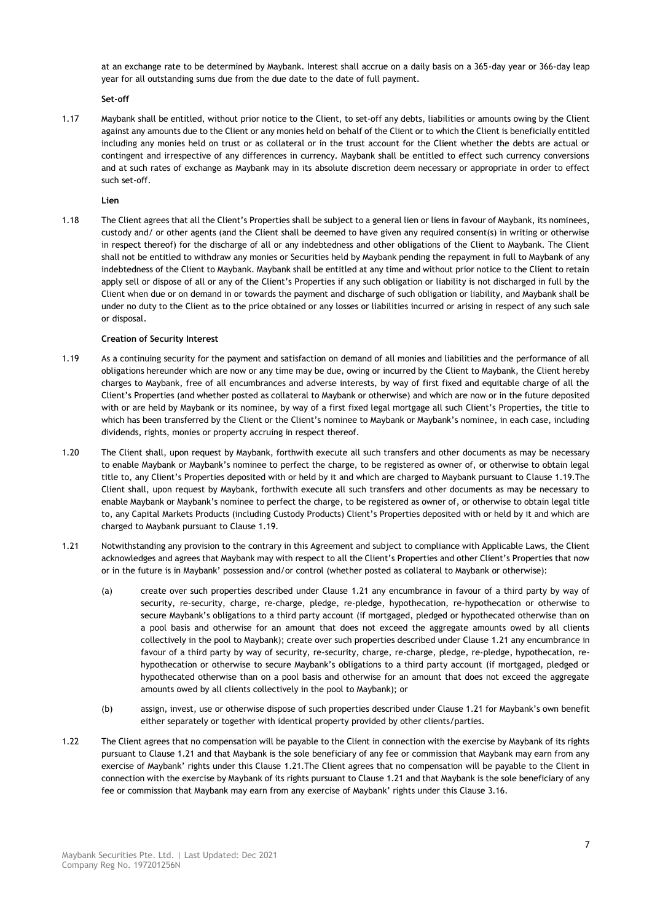at an exchange rate to be determined by Maybank. Interest shall accrue on a daily basis on a 365-day year or 366-day leap year for all outstanding sums due from the due date to the date of full payment.

**Set-off**

1.17 Maybank shall be entitled, without prior notice to the Client, to set-off any debts, liabilities or amounts owing by the Client against any amounts due to the Client or any monies held on behalf of the Client or to which the Client is beneficially entitled including any monies held on trust or as collateral or in the trust account for the Client whether the debts are actual or contingent and irrespective of any differences in currency. Maybank shall be entitled to effect such currency conversions and at such rates of exchange as Maybank may in its absolute discretion deem necessary or appropriate in order to effect such set-off.

**Lien**

1.18 The Client agrees that all the Client's Properties shall be subject to a general lien or liens in favour of Maybank, its nominees, custody and/ or other agents (and the Client shall be deemed to have given any required consent(s) in writing or otherwise in respect thereof) for the discharge of all or any indebtedness and other obligations of the Client to Maybank. The Client shall not be entitled to withdraw any monies or Securities held by Maybank pending the repayment in full to Maybank of any indebtedness of the Client to Maybank. Maybank shall be entitled at any time and without prior notice to the Client to retain apply sell or dispose of all or any of the Client's Properties if any such obligation or liability is not discharged in full by the Client when due or on demand in or towards the payment and discharge of such obligation or liability, and Maybank shall be under no duty to the Client as to the price obtained or any losses or liabilities incurred or arising in respect of any such sale or disposal.

# **Creation of Security Interest**

- <span id="page-6-0"></span>1.19 As a continuing security for the payment and satisfaction on demand of all monies and liabilities and the performance of all obligations hereunder which are now or any time may be due, owing or incurred by the Client to Maybank, the Client hereby charges to Maybank, free of all encumbrances and adverse interests, by way of first fixed and equitable charge of all the Client's Properties (and whether posted as collateral to Maybank or otherwise) and which are now or in the future deposited with or are held by Maybank or its nominee, by way of a first fixed legal mortgage all such Client's Properties, the title to which has been transferred by the Client or the Client's nominee to Maybank or Maybank's nominee, in each case, including dividends, rights, monies or property accruing in respect thereof.
- 1.20 The Client shall, upon request by Maybank, forthwith execute all such transfers and other documents as may be necessary to enable Maybank or Maybank's nominee to perfect the charge, to be registered as owner of, or otherwise to obtain legal title to, any Client's Properties deposited with or held by it and which are charged to Maybank pursuant to Clause [1.19.](#page-6-0)The Client shall, upon request by Maybank, forthwith execute all such transfers and other documents as may be necessary to enable Maybank or Maybank's nominee to perfect the charge, to be registered as owner of, or otherwise to obtain legal title to, any Capital Markets Products (including Custody Products) Client's Properties deposited with or held by it and which are charged to Maybank pursuant to Clause [1.19.](#page-6-0)
- <span id="page-6-1"></span>1.21 Notwithstanding any provision to the contrary in this Agreement and subject to compliance with Applicable Laws, the Client acknowledges and agrees that Maybank may with respect to all the Client's Properties and other Client's Properties that now or in the future is in Maybank' possession and/or control (whether posted as collateral to Maybank or otherwise):
	- (a) create over such properties described under Clause [1.21](#page-6-1) any encumbrance in favour of a third party by way of security, re-security, charge, re-charge, pledge, re-pledge, hypothecation, re-hypothecation or otherwise to secure Maybank's obligations to a third party account (if mortgaged, pledged or hypothecated otherwise than on a pool basis and otherwise for an amount that does not exceed the aggregate amounts owed by all clients collectively in the pool to Maybank); create over such properties described under Clause [1.21](#page-6-1) any encumbrance in favour of a third party by way of security, re-security, charge, re-charge, pledge, re-pledge, hypothecation, rehypothecation or otherwise to secure Maybank's obligations to a third party account (if mortgaged, pledged or hypothecated otherwise than on a pool basis and otherwise for an amount that does not exceed the aggregate amounts owed by all clients collectively in the pool to Maybank); or
	- (b) assign, invest, use or otherwise dispose of such properties described under Claus[e 1.21](#page-6-1) for Maybank's own benefit either separately or together with identical property provided by other clients/parties.
- 1.22 The Client agrees that no compensation will be payable to the Client in connection with the exercise by Maybank of its rights pursuant to Clause [1.21](#page-6-1) and that Maybank is the sole beneficiary of any fee or commission that Maybank may earn from any exercise of Maybank' rights under this Clause [1.21.](#page-6-1)The Client agrees that no compensation will be payable to the Client in connection with the exercise by Maybank of its rights pursuant to Clause [1.21](#page-6-1) and that Maybank is the sole beneficiary of any fee or commission that Maybank may earn from any exercise of Maybank' rights under this Clause 3.16.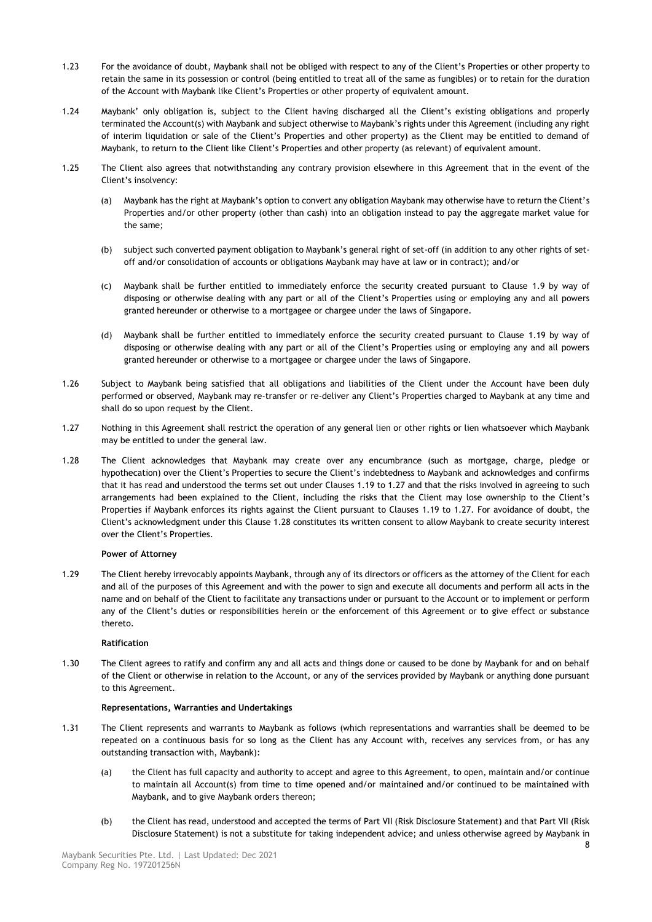- 1.23 For the avoidance of doubt, Maybank shall not be obliged with respect to any of the Client's Properties or other property to retain the same in its possession or control (being entitled to treat all of the same as fungibles) or to retain for the duration of the Account with Maybank like Client's Properties or other property of equivalent amount.
- 1.24 Maybank' only obligation is, subject to the Client having discharged all the Client's existing obligations and properly terminated the Account(s) with Maybank and subject otherwise to Maybank's rights under this Agreement (including any right of interim liquidation or sale of the Client's Properties and other property) as the Client may be entitled to demand of Maybank, to return to the Client like Client's Properties and other property (as relevant) of equivalent amount.
- 1.25 The Client also agrees that notwithstanding any contrary provision elsewhere in this Agreement that in the event of the Client's insolvency:
	- (a) Maybank has the right at Maybank's option to convert any obligation Maybank may otherwise have to return the Client's Properties and/or other property (other than cash) into an obligation instead to pay the aggregate market value for the same;
	- (b) subject such converted payment obligation to Maybank's general right of set-off (in addition to any other rights of setoff and/or consolidation of accounts or obligations Maybank may have at law or in contract); and/or
	- (c) Maybank shall be further entitled to immediately enforce the security created pursuant to Clause [1.9](#page-4-0) by way of disposing or otherwise dealing with any part or all of the Client's Properties using or employing any and all powers granted hereunder or otherwise to a mortgagee or chargee under the laws of Singapore.
	- (d) Maybank shall be further entitled to immediately enforce the security created pursuant to Clause [1.19](#page-6-0) by way of disposing or otherwise dealing with any part or all of the Client's Properties using or employing any and all powers granted hereunder or otherwise to a mortgagee or chargee under the laws of Singapore.
- 1.26 Subject to Maybank being satisfied that all obligations and liabilities of the Client under the Account have been duly performed or observed, Maybank may re-transfer or re-deliver any Client's Properties charged to Maybank at any time and shall do so upon request by the Client.
- <span id="page-7-0"></span>1.27 Nothing in this Agreement shall restrict the operation of any general lien or other rights or lien whatsoever which Maybank may be entitled to under the general law.
- <span id="page-7-1"></span>1.28 The Client acknowledges that Maybank may create over any encumbrance (such as mortgage, charge, pledge or hypothecation) over the Client's Properties to secure the Client's indebtedness to Maybank and acknowledges and confirms that it has read and understood the terms set out under Clauses [1.19](#page-6-0) to [1.27](#page-7-0) and that the risks involved in agreeing to such arrangements had been explained to the Client, including the risks that the Client may lose ownership to the Client's Properties if Maybank enforces its rights against the Client pursuant to Clauses [1.19](#page-6-0) to [1.27.](#page-7-0) For avoidance of doubt, the Client's acknowledgment under this Clause [1.28](#page-7-1) constitutes its written consent to allow Maybank to create security interest over the Client's Properties.

# **Power of Attorney**

1.29 The Client hereby irrevocably appoints Maybank, through any of its directors or officers as the attorney of the Client for each and all of the purposes of this Agreement and with the power to sign and execute all documents and perform all acts in the name and on behalf of the Client to facilitate any transactions under or pursuant to the Account or to implement or perform any of the Client's duties or responsibilities herein or the enforcement of this Agreement or to give effect or substance thereto.

# **Ratification**

1.30 The Client agrees to ratify and confirm any and all acts and things done or caused to be done by Maybank for and on behalf of the Client or otherwise in relation to the Account, or any of the services provided by Maybank or anything done pursuant to this Agreement.

# **Representations, Warranties and Undertakings**

- 1.31 The Client represents and warrants to Maybank as follows (which representations and warranties shall be deemed to be repeated on a continuous basis for so long as the Client has any Account with, receives any services from, or has any outstanding transaction with, Maybank):
	- (a) the Client has full capacity and authority to accept and agree to this Agreement, to open, maintain and/or continue to maintain all Account(s) from time to time opened and/or maintained and/or continued to be maintained with Maybank, and to give Maybank orders thereon;
	- (b) the Client has read, understood and accepted the terms of Part VII (Risk Disclosure Statement) and that Part VII (Risk Disclosure Statement) is not a substitute for taking independent advice; and unless otherwise agreed by Maybank in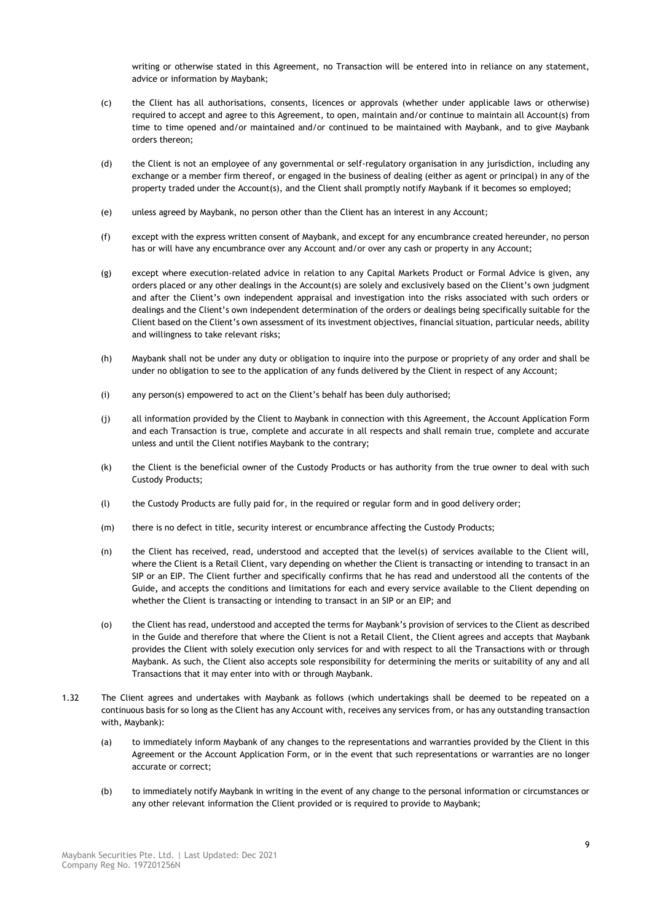writing or otherwise stated in this Agreement, no Transaction will be entered into in reliance on any statement, advice or information by Maybank;

- (c) the Client has all authorisations, consents, licences or approvals (whether under applicable laws or otherwise) required to accept and agree to this Agreement, to open, maintain and/or continue to maintain all Account(s) from time to time opened and/or maintained and/or continued to be maintained with Maybank, and to give Maybank orders thereon;
- (d) the Client is not an employee of any governmental or self-regulatory organisation in any jurisdiction, including any exchange or a member firm thereof, or engaged in the business of dealing (either as agent or principal) in any of the property traded under the Account(s), and the Client shall promptly notify Maybank if it becomes so employed;
- (e) unless agreed by Maybank, no person other than the Client has an interest in any Account;
- (f) except with the express written consent of Maybank, and except for any encumbrance created hereunder, no person has or will have any encumbrance over any Account and/or over any cash or property in any Account;
- (g) except where execution-related advice in relation to any Capital Markets Product or Formal Advice is given, any orders placed or any other dealings in the Account(s) are solely and exclusively based on the Client's own judgment and after the Client's own independent appraisal and investigation into the risks associated with such orders or dealings and the Client's own independent determination of the orders or dealings being specifically suitable for the Client based on the Client's own assessment of its investment objectives, financial situation, particular needs, ability and willingness to take relevant risks;
- (h) Maybank shall not be under any duty or obligation to inquire into the purpose or propriety of any order and shall be under no obligation to see to the application of any funds delivered by the Client in respect of any Account;
- (i) any person(s) empowered to act on the Client's behalf has been duly authorised;
- (j) all information provided by the Client to Maybank in connection with this Agreement, the Account Application Form and each Transaction is true, complete and accurate in all respects and shall remain true, complete and accurate unless and until the Client notifies Maybank to the contrary;
- (k) the Client is the beneficial owner of the Custody Products or has authority from the true owner to deal with such Custody Products;
- (l) the Custody Products are fully paid for, in the required or regular form and in good delivery order;
- (m) there is no defect in title, security interest or encumbrance affecting the Custody Products;
- (n) the Client has received, read, understood and accepted that the level(s) of services available to the Client will, where the Client is a Retail Client, vary depending on whether the Client is transacting or intending to transact in an SIP or an EIP. The Client further and specifically confirms that he has read and understood all the contents of the Guide**,** and accepts the conditions and limitations for each and every service available to the Client depending on whether the Client is transacting or intending to transact in an SIP or an EIP; and
- (o) the Client has read, understood and accepted the terms for Maybank's provision of services to the Client as described in the Guide and therefore that where the Client is not a Retail Client, the Client agrees and accepts that Maybank provides the Client with solely execution only services for and with respect to all the Transactions with or through Maybank. As such, the Client also accepts sole responsibility for determining the merits or suitability of any and all Transactions that it may enter into with or through Maybank.
- <span id="page-8-0"></span>1.32 The Client agrees and undertakes with Maybank as follows (which undertakings shall be deemed to be repeated on a continuous basis for so long as the Client has any Account with, receives any services from, or has any outstanding transaction with, Maybank):
	- (a) to immediately inform Maybank of any changes to the representations and warranties provided by the Client in this Agreement or the Account Application Form, or in the event that such representations or warranties are no longer accurate or correct;
	- (b) to immediately notify Maybank in writing in the event of any change to the personal information or circumstances or any other relevant information the Client provided or is required to provide to Maybank;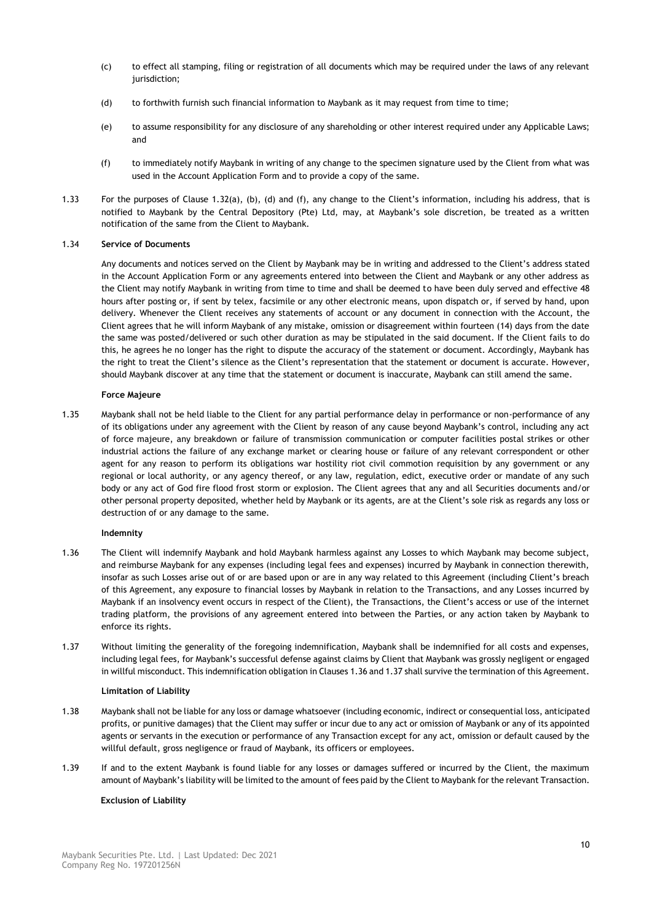- (c) to effect all stamping, filing or registration of all documents which may be required under the laws of any relevant jurisdiction;
- (d) to forthwith furnish such financial information to Maybank as it may request from time to time;
- (e) to assume responsibility for any disclosure of any shareholding or other interest required under any Applicable Laws; and
- (f) to immediately notify Maybank in writing of any change to the specimen signature used by the Client from what was used in the Account Application Form and to provide a copy of the same.
- 1.33 For the purposes of Clause [1.32](#page-8-0)(a), (b), (d) and (f), any change to the Client's information, including his address, that is notified to Maybank by the Central Depository (Pte) Ltd, may, at Maybank's sole discretion, be treated as a written notification of the same from the Client to Maybank.

# 1.34 **Service of Documents**

Any documents and notices served on the Client by Maybank may be in writing and addressed to the Client's address stated in the Account Application Form or any agreements entered into between the Client and Maybank or any other address as the Client may notify Maybank in writing from time to time and shall be deemed to have been duly served and effective 48 hours after posting or, if sent by telex, facsimile or any other electronic means, upon dispatch or, if served by hand, upon delivery. Whenever the Client receives any statements of account or any document in connection with the Account, the Client agrees that he will inform Maybank of any mistake, omission or disagreement within fourteen (14) days from the date the same was posted/delivered or such other duration as may be stipulated in the said document. If the Client fails to do this, he agrees he no longer has the right to dispute the accuracy of the statement or document. Accordingly, Maybank has the right to treat the Client's silence as the Client's representation that the statement or document is accurate. However, should Maybank discover at any time that the statement or document is inaccurate, Maybank can still amend the same.

# **Force Majeure**

<span id="page-9-2"></span>1.35 Maybank shall not be held liable to the Client for any partial performance delay in performance or non-performance of any of its obligations under any agreement with the Client by reason of any cause beyond Maybank's control, including any act of force majeure, any breakdown or failure of transmission communication or computer facilities postal strikes or other industrial actions the failure of any exchange market or clearing house or failure of any relevant correspondent or other agent for any reason to perform its obligations war hostility riot civil commotion requisition by any government or any regional or local authority, or any agency thereof, or any law, regulation, edict, executive order or mandate of any such body or any act of God fire flood frost storm or explosion. The Client agrees that any and all Securities documents and/or other personal property deposited, whether held by Maybank or its agents, are at the Client's sole risk as regards any loss or destruction of or any damage to the same.

# **Indemnity**

- <span id="page-9-0"></span>1.36 The Client will indemnify Maybank and hold Maybank harmless against any Losses to which Maybank may become subject, and reimburse Maybank for any expenses (including legal fees and expenses) incurred by Maybank in connection therewith, insofar as such Losses arise out of or are based upon or are in any way related to this Agreement (including Client's breach of this Agreement, any exposure to financial losses by Maybank in relation to the Transactions, and any Losses incurred by Maybank if an insolvency event occurs in respect of the Client), the Transactions, the Client's access or use of the internet trading platform, the provisions of any agreement entered into between the Parties, or any action taken by Maybank to enforce its rights.
- <span id="page-9-1"></span>1.37 Without limiting the generality of the foregoing indemnification, Maybank shall be indemnified for all costs and expenses, including legal fees, for Maybank's successful defense against claims by Client that Maybank was grossly negligent or engaged in willful misconduct. This indemnification obligation in Clause[s 1.36](#page-9-0) an[d 1.37](#page-9-1) shall survive the termination of this Agreement.

# **Limitation of Liability**

- 1.38 Maybank shall not be liable for any loss or damage whatsoever (including economic, indirect or consequential loss, anticipated profits, or punitive damages) that the Client may suffer or incur due to any act or omission of Maybank or any of its appointed agents or servants in the execution or performance of any Transaction except for any act, omission or default caused by the willful default, gross negligence or fraud of Maybank, its officers or employees.
- 1.39 If and to the extent Maybank is found liable for any losses or damages suffered or incurred by the Client, the maximum amount of Maybank's liability will be limited to the amount of fees paid by the Client to Maybank for the relevant Transaction.

# **Exclusion of Liability**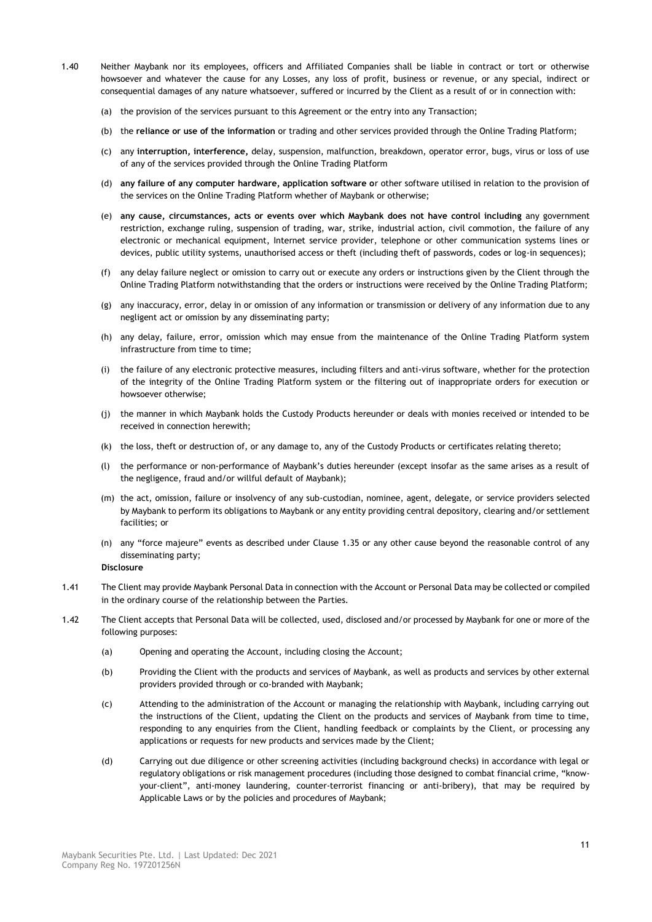- 1.40 Neither Maybank nor its employees, officers and Affiliated Companies shall be liable in contract or tort or otherwise howsoever and whatever the cause for any Losses, any loss of profit, business or revenue, or any special, indirect or consequential damages of any nature whatsoever, suffered or incurred by the Client as a result of or in connection with:
	- (a) the provision of the services pursuant to this Agreement or the entry into any Transaction;
	- (b) the **reliance or use of the information** or trading and other services provided through the Online Trading Platform;
	- (c) any **interruption, interference,** delay, suspension, malfunction, breakdown, operator error, bugs, virus or loss of use of any of the services provided through the Online Trading Platform
	- (d) **any failure of any computer hardware, application software o**r other software utilised in relation to the provision of the services on the Online Trading Platform whether of Maybank or otherwise;
	- (e) **any cause, circumstances, acts or events over which Maybank does not have control including** any government restriction, exchange ruling, suspension of trading, war, strike, industrial action, civil commotion, the failure of any electronic or mechanical equipment, Internet service provider, telephone or other communication systems lines or devices, public utility systems, unauthorised access or theft (including theft of passwords, codes or log-in sequences);
	- (f) any delay failure neglect or omission to carry out or execute any orders or instructions given by the Client through the Online Trading Platform notwithstanding that the orders or instructions were received by the Online Trading Platform;
	- (g) any inaccuracy, error, delay in or omission of any information or transmission or delivery of any information due to any negligent act or omission by any disseminating party;
	- (h) any delay, failure, error, omission which may ensue from the maintenance of the Online Trading Platform system infrastructure from time to time;
	- (i) the failure of any electronic protective measures, including filters and anti-virus software, whether for the protection of the integrity of the Online Trading Platform system or the filtering out of inappropriate orders for execution or howsoever otherwise;
	- (j) the manner in which Maybank holds the Custody Products hereunder or deals with monies received or intended to be received in connection herewith;
	- (k) the loss, theft or destruction of, or any damage to, any of the Custody Products or certificates relating thereto;
	- (l) the performance or non-performance of Maybank's duties hereunder (except insofar as the same arises as a result of the negligence, fraud and/or willful default of Maybank);
	- (m) the act, omission, failure or insolvency of any sub-custodian, nominee, agent, delegate, or service providers selected by Maybank to perform its obligations to Maybank or any entity providing central depository, clearing and/or settlement facilities; or
	- (n) any "force majeure" events as described under Clause [1.35](#page-9-2) or any other cause beyond the reasonable control of any disseminating party;

# **Disclosure**

- 1.41 The Client may provide Maybank Personal Data in connection with the Account or Personal Data may be collected or compiled in the ordinary course of the relationship between the Parties.
- <span id="page-10-0"></span>1.42 The Client accepts that Personal Data will be collected, used, disclosed and/or processed by Maybank for one or more of the following purposes:
	- (a) Opening and operating the Account, including closing the Account;
	- (b) Providing the Client with the products and services of Maybank, as well as products and services by other external providers provided through or co-branded with Maybank;
	- (c) Attending to the administration of the Account or managing the relationship with Maybank, including carrying out the instructions of the Client, updating the Client on the products and services of Maybank from time to time, responding to any enquiries from the Client, handling feedback or complaints by the Client, or processing any applications or requests for new products and services made by the Client;
	- (d) Carrying out due diligence or other screening activities (including background checks) in accordance with legal or regulatory obligations or risk management procedures (including those designed to combat financial crime, "knowyour-client", anti-money laundering, counter-terrorist financing or anti-bribery), that may be required by Applicable Laws or by the policies and procedures of Maybank;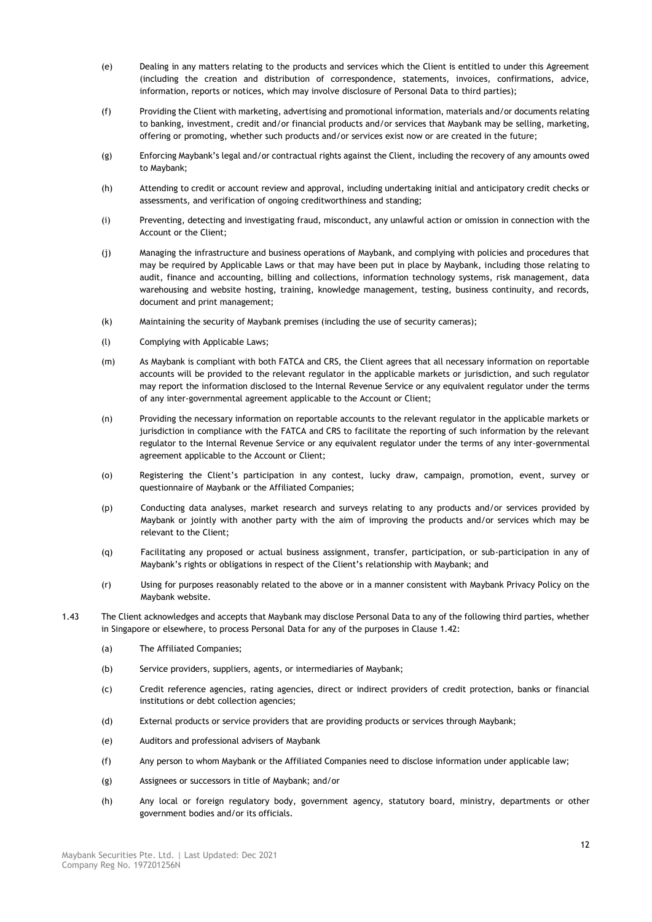- (e) Dealing in any matters relating to the products and services which the Client is entitled to under this Agreement (including the creation and distribution of correspondence, statements, invoices, confirmations, advice, information, reports or notices, which may involve disclosure of Personal Data to third parties);
- (f) Providing the Client with marketing, advertising and promotional information, materials and/or documents relating to banking, investment, credit and/or financial products and/or services that Maybank may be selling, marketing, offering or promoting, whether such products and/or services exist now or are created in the future;
- (g) Enforcing Maybank's legal and/or contractual rights against the Client, including the recovery of any amounts owed to Maybank;
- (h) Attending to credit or account review and approval, including undertaking initial and anticipatory credit checks or assessments, and verification of ongoing creditworthiness and standing;
- (i) Preventing, detecting and investigating fraud, misconduct, any unlawful action or omission in connection with the Account or the Client;
- (j) Managing the infrastructure and business operations of Maybank, and complying with policies and procedures that may be required by Applicable Laws or that may have been put in place by Maybank, including those relating to audit, finance and accounting, billing and collections, information technology systems, risk management, data warehousing and website hosting, training, knowledge management, testing, business continuity, and records, document and print management;
- (k) Maintaining the security of Maybank premises (including the use of security cameras);
- (l) Complying with Applicable Laws;
- (m) As Maybank is compliant with both FATCA and CRS, the Client agrees that all necessary information on reportable accounts will be provided to the relevant regulator in the applicable markets or jurisdiction, and such regulator may report the information disclosed to the Internal Revenue Service or any equivalent regulator under the terms of any inter-governmental agreement applicable to the Account or Client;
- (n) Providing the necessary information on reportable accounts to the relevant regulator in the applicable markets or jurisdiction in compliance with the FATCA and CRS to facilitate the reporting of such information by the relevant regulator to the Internal Revenue Service or any equivalent regulator under the terms of any inter-governmental agreement applicable to the Account or Client;
- (o) Registering the Client's participation in any contest, lucky draw, campaign, promotion, event, survey or questionnaire of Maybank or the Affiliated Companies;
- (p) Conducting data analyses, market research and surveys relating to any products and/or services provided by Maybank or jointly with another party with the aim of improving the products and/or services which may be relevant to the Client;
- (q) Facilitating any proposed or actual business assignment, transfer, participation, or sub-participation in any of Maybank's rights or obligations in respect of the Client's relationship with Maybank; and
- (r) Using for purposes reasonably related to the above or in a manner consistent with Maybank Privacy Policy on the Maybank website.
- <span id="page-11-0"></span>1.43 The Client acknowledges and accepts that Maybank may disclose Personal Data to any of the following third parties, whether in Singapore or elsewhere, to process Personal Data for any of the purposes in Clause [1.42:](#page-10-0)
	- (a) The Affiliated Companies;
	- (b) Service providers, suppliers, agents, or intermediaries of Maybank;
	- (c) Credit reference agencies, rating agencies, direct or indirect providers of credit protection, banks or financial institutions or debt collection agencies;
	- (d) External products or service providers that are providing products or services through Maybank;
	- (e) Auditors and professional advisers of Maybank
	- (f) Any person to whom Maybank or the Affiliated Companies need to disclose information under applicable law;
	- (g) Assignees or successors in title of Maybank; and/or
	- (h) Any local or foreign regulatory body, government agency, statutory board, ministry, departments or other government bodies and/or its officials.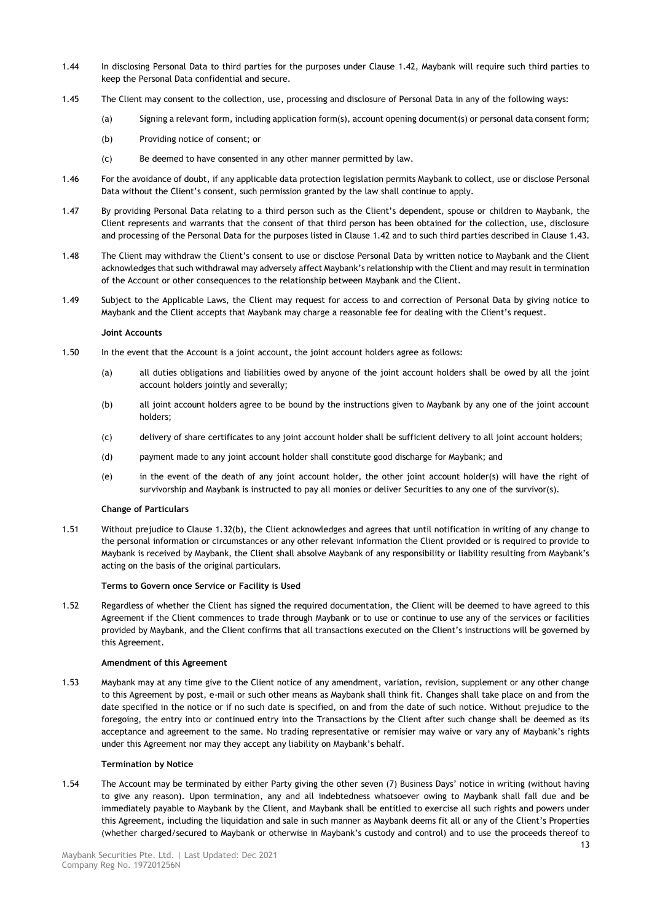- 1.44 In disclosing Personal Data to third parties for the purposes under Clause [1.42,](#page-10-0) Maybank will require such third parties to keep the Personal Data confidential and secure.
- 1.45 The Client may consent to the collection, use, processing and disclosure of Personal Data in any of the following ways:
	- (a) Signing a relevant form, including application form(s), account opening document(s) or personal data consent form;
	- (b) Providing notice of consent; or
	- (c) Be deemed to have consented in any other manner permitted by law.
- 1.46 For the avoidance of doubt, if any applicable data protection legislation permits Maybank to collect, use or disclose Personal Data without the Client's consent, such permission granted by the law shall continue to apply.
- 1.47 By providing Personal Data relating to a third person such as the Client's dependent, spouse or children to Maybank, the Client represents and warrants that the consent of that third person has been obtained for the collection, use, disclosure and processing of the Personal Data for the purposes listed in Clause [1.42](#page-10-0) and to such third parties described in Clause [1.43.](#page-11-0)
- 1.48 The Client may withdraw the Client's consent to use or disclose Personal Data by written notice to Maybank and the Client acknowledges that such withdrawal may adversely affect Maybank's relationship with the Client and may result in termination of the Account or other consequences to the relationship between Maybank and the Client.
- 1.49 Subject to the Applicable Laws, the Client may request for access to and correction of Personal Data by giving notice to Maybank and the Client accepts that Maybank may charge a reasonable fee for dealing with the Client's request.

# **Joint Accounts**

- 1.50 In the event that the Account is a joint account, the joint account holders agree as follows:
	- (a) all duties obligations and liabilities owed by anyone of the joint account holders shall be owed by all the joint account holders jointly and severally;
	- (b) all joint account holders agree to be bound by the instructions given to Maybank by any one of the joint account holders;
	- (c) delivery of share certificates to any joint account holder shall be sufficient delivery to all joint account holders;
	- (d) payment made to any joint account holder shall constitute good discharge for Maybank; and
	- (e) in the event of the death of any joint account holder, the other joint account holder(s) will have the right of survivorship and Maybank is instructed to pay all monies or deliver Securities to any one of the survivor(s).

# **Change of Particulars**

1.51 Without prejudice to Claus[e 1.32\(](#page-8-0)b), the Client acknowledges and agrees that until notification in writing of any change to the personal information or circumstances or any other relevant information the Client provided or is required to provide to Maybank is received by Maybank, the Client shall absolve Maybank of any responsibility or liability resulting from Maybank's acting on the basis of the original particulars.

# **Terms to Govern once Service or Facility is Used**

1.52 Regardless of whether the Client has signed the required documentation, the Client will be deemed to have agreed to this Agreement if the Client commences to trade through Maybank or to use or continue to use any of the services or facilities provided by Maybank, and the Client confirms that all transactions executed on the Client's instructions will be governed by this Agreement.

# **Amendment of this Agreement**

1.53 Maybank may at any time give to the Client notice of any amendment, variation, revision, supplement or any other change to this Agreement by post, e-mail or such other means as Maybank shall think fit. Changes shall take place on and from the date specified in the notice or if no such date is specified, on and from the date of such notice. Without prejudice to the foregoing, the entry into or continued entry into the Transactions by the Client after such change shall be deemed as its acceptance and agreement to the same. No trading representative or remisier may waive or vary any of Maybank's rights under this Agreement nor may they accept any liability on Maybank's behalf.

# **Termination by Notice**

1.54 The Account may be terminated by either Party giving the other seven (7) Business Days' notice in writing (without having to give any reason). Upon termination, any and all indebtedness whatsoever owing to Maybank shall fall due and be immediately payable to Maybank by the Client, and Maybank shall be entitled to exercise all such rights and powers under this Agreement, including the liquidation and sale in such manner as Maybank deems fit all or any of the Client's Properties (whether charged/secured to Maybank or otherwise in Maybank's custody and control) and to use the proceeds thereof to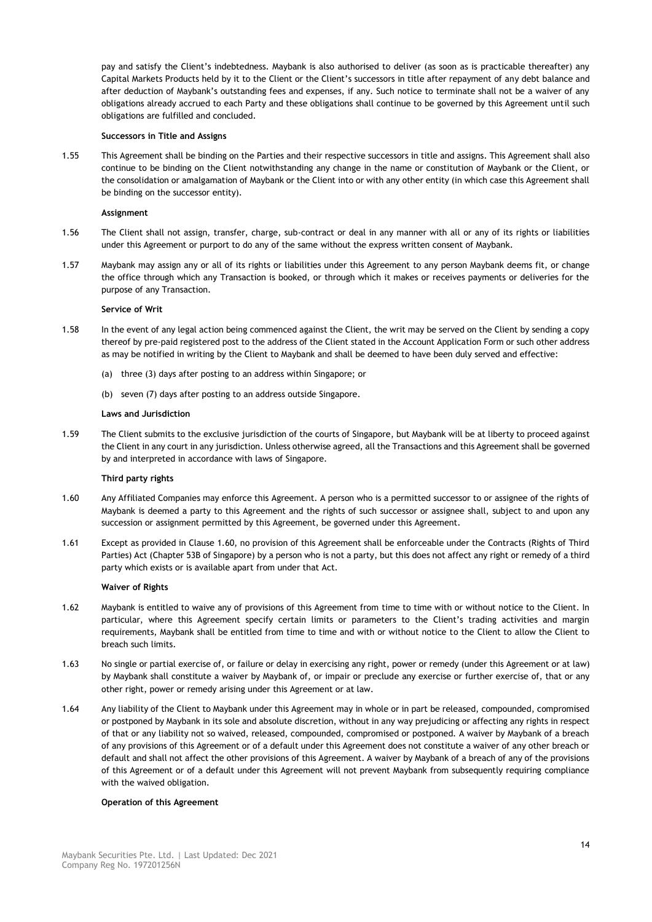pay and satisfy the Client's indebtedness. Maybank is also authorised to deliver (as soon as is practicable thereafter) any Capital Markets Products held by it to the Client or the Client's successors in title after repayment of any debt balance and after deduction of Maybank's outstanding fees and expenses, if any. Such notice to terminate shall not be a waiver of any obligations already accrued to each Party and these obligations shall continue to be governed by this Agreement until such obligations are fulfilled and concluded.

# **Successors in Title and Assigns**

1.55 This Agreement shall be binding on the Parties and their respective successors in title and assigns. This Agreement shall also continue to be binding on the Client notwithstanding any change in the name or constitution of Maybank or the Client, or the consolidation or amalgamation of Maybank or the Client into or with any other entity (in which case this Agreement shall be binding on the successor entity).

# **Assignment**

- 1.56 The Client shall not assign, transfer, charge, sub-contract or deal in any manner with all or any of its rights or liabilities under this Agreement or purport to do any of the same without the express written consent of Maybank.
- 1.57 Maybank may assign any or all of its rights or liabilities under this Agreement to any person Maybank deems fit, or change the office through which any Transaction is booked, or through which it makes or receives payments or deliveries for the purpose of any Transaction.

# **Service of Writ**

- 1.58 In the event of any legal action being commenced against the Client, the writ may be served on the Client by sending a copy thereof by pre-paid registered post to the address of the Client stated in the Account Application Form or such other address as may be notified in writing by the Client to Maybank and shall be deemed to have been duly served and effective:
	- (a) three (3) days after posting to an address within Singapore; or
	- (b) seven (7) days after posting to an address outside Singapore.

# **Laws and Jurisdiction**

1.59 The Client submits to the exclusive jurisdiction of the courts of Singapore, but Maybank will be at liberty to proceed against the Client in any court in any jurisdiction. Unless otherwise agreed, all the Transactions and this Agreement shall be governed by and interpreted in accordance with laws of Singapore.

# **Third party rights**

- <span id="page-13-0"></span>1.60 Any Affiliated Companies may enforce this Agreement. A person who is a permitted successor to or assignee of the rights of Maybank is deemed a party to this Agreement and the rights of such successor or assignee shall, subject to and upon any succession or assignment permitted by this Agreement, be governed under this Agreement.
- 1.61 Except as provided in Clause [1.60,](#page-13-0) no provision of this Agreement shall be enforceable under the Contracts (Rights of Third Parties) Act (Chapter 53B of Singapore) by a person who is not a party, but this does not affect any right or remedy of a third party which exists or is available apart from under that Act.

# **Waiver of Rights**

- 1.62 Maybank is entitled to waive any of provisions of this Agreement from time to time with or without notice to the Client. In particular, where this Agreement specify certain limits or parameters to the Client's trading activities and margin requirements, Maybank shall be entitled from time to time and with or without notice to the Client to allow the Client to breach such limits.
- 1.63 No single or partial exercise of, or failure or delay in exercising any right, power or remedy (under this Agreement or at law) by Maybank shall constitute a waiver by Maybank of, or impair or preclude any exercise or further exercise of, that or any other right, power or remedy arising under this Agreement or at law.
- 1.64 Any liability of the Client to Maybank under this Agreement may in whole or in part be released, compounded, compromised or postponed by Maybank in its sole and absolute discretion, without in any way prejudicing or affecting any rights in respect of that or any liability not so waived, released, compounded, compromised or postponed. A waiver by Maybank of a breach of any provisions of this Agreement or of a default under this Agreement does not constitute a waiver of any other breach or default and shall not affect the other provisions of this Agreement. A waiver by Maybank of a breach of any of the provisions of this Agreement or of a default under this Agreement will not prevent Maybank from subsequently requiring compliance with the waived obligation.

# **Operation of this Agreement**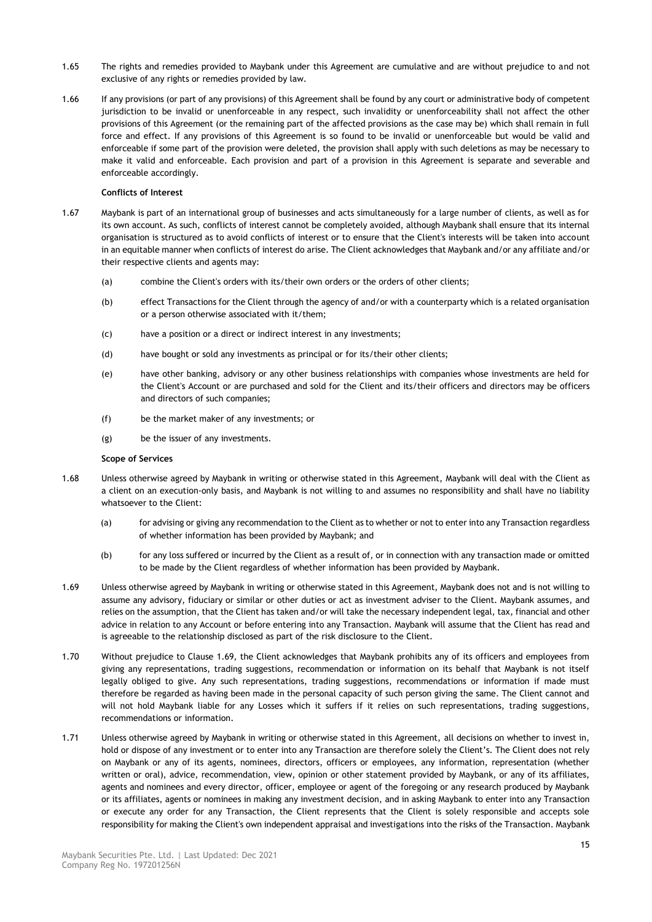- 1.65 The rights and remedies provided to Maybank under this Agreement are cumulative and are without prejudice to and not exclusive of any rights or remedies provided by law.
- 1.66 If any provisions (or part of any provisions) of this Agreement shall be found by any court or administrative body of competent jurisdiction to be invalid or unenforceable in any respect, such invalidity or unenforceability shall not affect the other provisions of this Agreement (or the remaining part of the affected provisions as the case may be) which shall remain in full force and effect. If any provisions of this Agreement is so found to be invalid or unenforceable but would be valid and enforceable if some part of the provision were deleted, the provision shall apply with such deletions as may be necessary to make it valid and enforceable. Each provision and part of a provision in this Agreement is separate and severable and enforceable accordingly.

# **Conflicts of Interest**

- 1.67 Maybank is part of an international group of businesses and acts simultaneously for a large number of clients, as well as for its own account. As such, conflicts of interest cannot be completely avoided, although Maybank shall ensure that its internal organisation is structured as to avoid conflicts of interest or to ensure that the Client's interests will be taken into account in an equitable manner when conflicts of interest do arise. The Client acknowledges that Maybank and/or any affiliate and/or their respective clients and agents may:
	- (a) combine the Client's orders with its/their own orders or the orders of other clients;
	- (b) effect Transactions for the Client through the agency of and/or with a counterparty which is a related organisation or a person otherwise associated with it/them;
	- (c) have a position or a direct or indirect interest in any investments;
	- (d) have bought or sold any investments as principal or for its/their other clients;
	- (e) have other banking, advisory or any other business relationships with companies whose investments are held for the Client's Account or are purchased and sold for the Client and its/their officers and directors may be officers and directors of such companies;
	- (f) be the market maker of any investments; or
	- (g) be the issuer of any investments.

# **Scope of Services**

- <span id="page-14-1"></span>1.68 Unless otherwise agreed by Maybank in writing or otherwise stated in this Agreement, Maybank will deal with the Client as a client on an execution-only basis, and Maybank is not willing to and assumes no responsibility and shall have no liability whatsoever to the Client:
	- (a) for advising or giving any recommendation to the Client as to whether or not to enter into any Transaction regardless of whether information has been provided by Maybank; and
	- (b) for any loss suffered or incurred by the Client as a result of, or in connection with any transaction made or omitted to be made by the Client regardless of whether information has been provided by Maybank.
- <span id="page-14-0"></span>1.69 Unless otherwise agreed by Maybank in writing or otherwise stated in this Agreement, Maybank does not and is not willing to assume any advisory, fiduciary or similar or other duties or act as investment adviser to the Client. Maybank assumes, and relies on the assumption, that the Client has taken and/or will take the necessary independent legal, tax, financial and other advice in relation to any Account or before entering into any Transaction. Maybank will assume that the Client has read and is agreeable to the relationship disclosed as part of the risk disclosure to the Client.
- 1.70 Without prejudice to Clause [1.69,](#page-14-0) the Client acknowledges that Maybank prohibits any of its officers and employees from giving any representations, trading suggestions, recommendation or information on its behalf that Maybank is not itself legally obliged to give. Any such representations, trading suggestions, recommendations or information if made must therefore be regarded as having been made in the personal capacity of such person giving the same. The Client cannot and will not hold Maybank liable for any Losses which it suffers if it relies on such representations, trading suggestions, recommendations or information.
- 1.71 Unless otherwise agreed by Maybank in writing or otherwise stated in this Agreement, all decisions on whether to invest in, hold or dispose of any investment or to enter into any Transaction are therefore solely the Client's. The Client does not rely on Maybank or any of its agents, nominees, directors, officers or employees, any information, representation (whether written or oral), advice, recommendation, view, opinion or other statement provided by Maybank, or any of its affiliates, agents and nominees and every director, officer, employee or agent of the foregoing or any research produced by Maybank or its affiliates, agents or nominees in making any investment decision, and in asking Maybank to enter into any Transaction or execute any order for any Transaction, the Client represents that the Client is solely responsible and accepts sole responsibility for making the Client's own independent appraisal and investigations into the risks of the Transaction. Maybank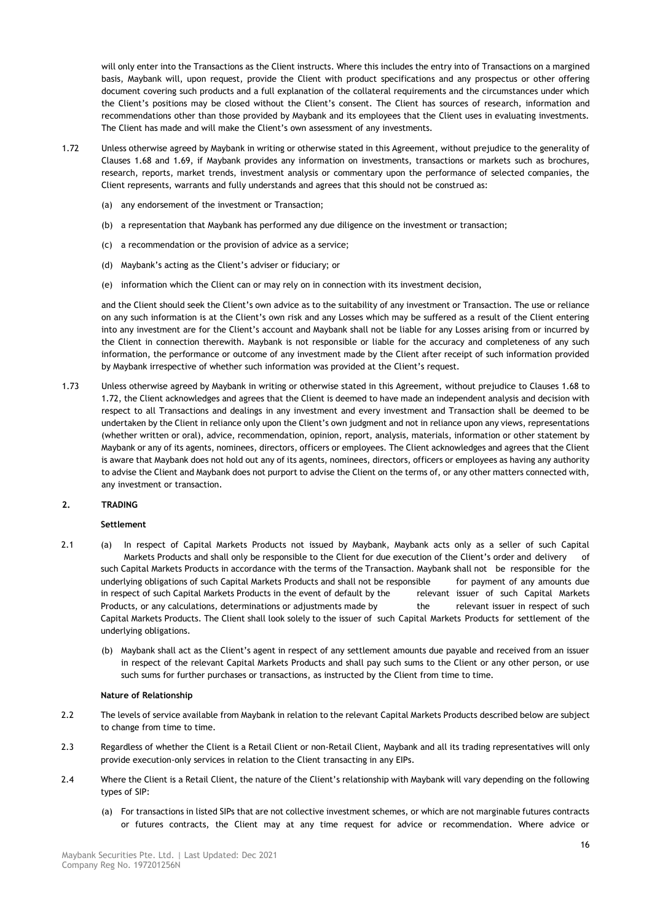will only enter into the Transactions as the Client instructs. Where this includes the entry into of Transactions on a margined basis, Maybank will, upon request, provide the Client with product specifications and any prospectus or other offering document covering such products and a full explanation of the collateral requirements and the circumstances under which the Client's positions may be closed without the Client's consent. The Client has sources of research, information and recommendations other than those provided by Maybank and its employees that the Client uses in evaluating investments. The Client has made and will make the Client's own assessment of any investments.

- <span id="page-15-0"></span>1.72 Unless otherwise agreed by Maybank in writing or otherwise stated in this Agreement, without prejudice to the generality of Clauses [1.68](#page-14-1) and [1.69,](#page-14-0) if Maybank provides any information on investments, transactions or markets such as brochures, research, reports, market trends, investment analysis or commentary upon the performance of selected companies, the Client represents, warrants and fully understands and agrees that this should not be construed as:
	- (a) any endorsement of the investment or Transaction;
	- (b) a representation that Maybank has performed any due diligence on the investment or transaction;
	- (c) a recommendation or the provision of advice as a service;
	- (d) Maybank's acting as the Client's adviser or fiduciary; or
	- (e) information which the Client can or may rely on in connection with its investment decision,

and the Client should seek the Client's own advice as to the suitability of any investment or Transaction. The use or reliance on any such information is at the Client's own risk and any Losses which may be suffered as a result of the Client entering into any investment are for the Client's account and Maybank shall not be liable for any Losses arising from or incurred by the Client in connection therewith. Maybank is not responsible or liable for the accuracy and completeness of any such information, the performance or outcome of any investment made by the Client after receipt of such information provided by Maybank irrespective of whether such information was provided at the Client's request.

1.73 Unless otherwise agreed by Maybank in writing or otherwise stated in this Agreement, without prejudice to Clauses [1.68](#page-14-1) to [1.72,](#page-15-0) the Client acknowledges and agrees that the Client is deemed to have made an independent analysis and decision with respect to all Transactions and dealings in any investment and every investment and Transaction shall be deemed to be undertaken by the Client in reliance only upon the Client's own judgment and not in reliance upon any views, representations (whether written or oral), advice, recommendation, opinion, report, analysis, materials, information or other statement by Maybank or any of its agents, nominees, directors, officers or employees. The Client acknowledges and agrees that the Client is aware that Maybank does not hold out any of its agents, nominees, directors, officers or employees as having any authority to advise the Client and Maybank does not purport to advise the Client on the terms of, or any other matters connected with, any investment or transaction.

# **2. TRADING**

# **Settlement**

- 2.1 (a) In respect of Capital Markets Products not issued by Maybank, Maybank acts only as a seller of such Capital Markets Products and shall only be responsible to the Client for due execution of the Client's order and delivery of such Capital Markets Products in accordance with the terms of the Transaction. Maybank shall not be responsible for the underlying obligations of such Capital Markets Products and shall not be responsible for payment of any amounts due in respect of such Capital Markets Products in the event of default by the relevant issuer of such Capital Markets Products, or any calculations, determinations or adjustments made by the relevant issuer in respect of such Capital Markets Products. The Client shall look solely to the issuer of such Capital Markets Products for settlement of the underlying obligations.
	- (b) Maybank shall act as the Client's agent in respect of any settlement amounts due payable and received from an issuer in respect of the relevant Capital Markets Products and shall pay such sums to the Client or any other person, or use such sums for further purchases or transactions, as instructed by the Client from time to time.

# **Nature of Relationship**

- 2.2 The levels of service available from Maybank in relation to the relevant Capital Markets Products described below are subject to change from time to time.
- 2.3 Regardless of whether the Client is a Retail Client or non-Retail Client, Maybank and all its trading representatives will only provide execution-only services in relation to the Client transacting in any EIPs.
- 2.4 Where the Client is a Retail Client, the nature of the Client's relationship with Maybank will vary depending on the following types of SIP:
	- (a) For transactions in listed SIPs that are not collective investment schemes, or which are not marginable futures contracts or futures contracts, the Client may at any time request for advice or recommendation. Where advice or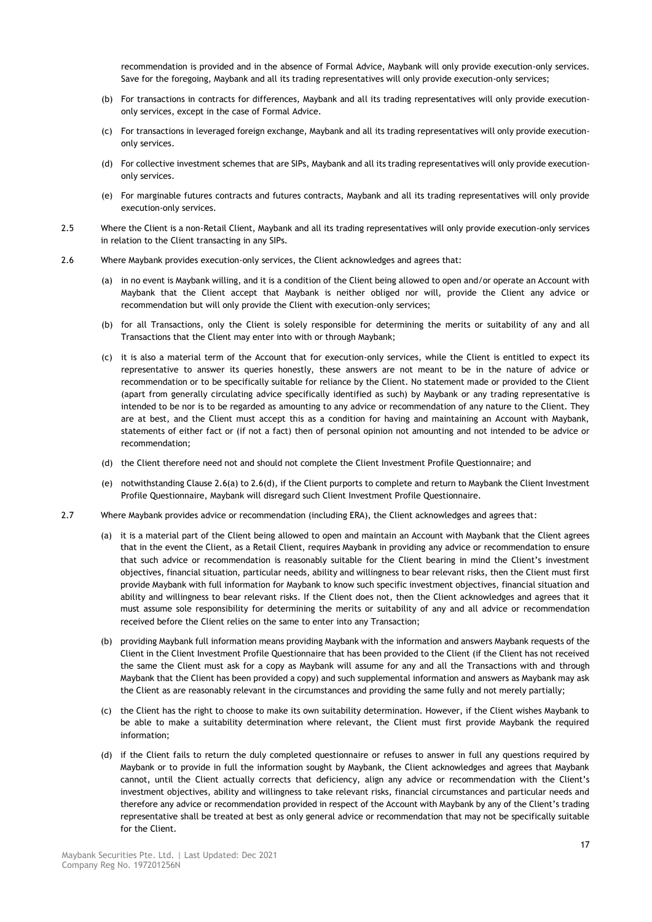recommendation is provided and in the absence of Formal Advice, Maybank will only provide execution-only services. Save for the foregoing, Maybank and all its trading representatives will only provide execution-only services;

- (b) For transactions in contracts for differences, Maybank and all its trading representatives will only provide executiononly services, except in the case of Formal Advice.
- (c) For transactions in leveraged foreign exchange, Maybank and all its trading representatives will only provide executiononly services.
- (d) For collective investment schemes that are SIPs, Maybank and all its trading representatives will only provide executiononly services.
- (e) For marginable futures contracts and futures contracts, Maybank and all its trading representatives will only provide execution-only services.
- 2.5 Where the Client is a non-Retail Client, Maybank and all its trading representatives will only provide execution-only services in relation to the Client transacting in any SIPs.
- <span id="page-16-0"></span>2.6 Where Maybank provides execution-only services, the Client acknowledges and agrees that:
	- (a) in no event is Maybank willing, and it is a condition of the Client being allowed to open and/or operate an Account with Maybank that the Client accept that Maybank is neither obliged nor will, provide the Client any advice or recommendation but will only provide the Client with execution-only services;
	- (b) for all Transactions, only the Client is solely responsible for determining the merits or suitability of any and all Transactions that the Client may enter into with or through Maybank;
	- (c) it is also a material term of the Account that for execution-only services, while the Client is entitled to expect its representative to answer its queries honestly, these answers are not meant to be in the nature of advice or recommendation or to be specifically suitable for reliance by the Client. No statement made or provided to the Client (apart from generally circulating advice specifically identified as such) by Maybank or any trading representative is intended to be nor is to be regarded as amounting to any advice or recommendation of any nature to the Client. They are at best, and the Client must accept this as a condition for having and maintaining an Account with Maybank, statements of either fact or (if not a fact) then of personal opinion not amounting and not intended to be advice or recommendation;
	- (d) the Client therefore need not and should not complete the Client Investment Profile Questionnaire; and
	- (e) notwithstanding Clause [2.6\(](#page-16-0)a) t[o 2.6\(](#page-16-0)d), if the Client purports to complete and return to Maybank the Client Investment Profile Questionnaire, Maybank will disregard such Client Investment Profile Questionnaire.
- 2.7 Where Maybank provides advice or recommendation (including ERA), the Client acknowledges and agrees that:
	- (a) it is a material part of the Client being allowed to open and maintain an Account with Maybank that the Client agrees that in the event the Client, as a Retail Client, requires Maybank in providing any advice or recommendation to ensure that such advice or recommendation is reasonably suitable for the Client bearing in mind the Client's investment objectives, financial situation, particular needs, ability and willingness to bear relevant risks, then the Client must first provide Maybank with full information for Maybank to know such specific investment objectives, financial situation and ability and willingness to bear relevant risks. If the Client does not, then the Client acknowledges and agrees that it must assume sole responsibility for determining the merits or suitability of any and all advice or recommendation received before the Client relies on the same to enter into any Transaction;
	- (b) providing Maybank full information means providing Maybank with the information and answers Maybank requests of the Client in the Client Investment Profile Questionnaire that has been provided to the Client (if the Client has not received the same the Client must ask for a copy as Maybank will assume for any and all the Transactions with and through Maybank that the Client has been provided a copy) and such supplemental information and answers as Maybank may ask the Client as are reasonably relevant in the circumstances and providing the same fully and not merely partially;
	- (c) the Client has the right to choose to make its own suitability determination. However, if the Client wishes Maybank to be able to make a suitability determination where relevant, the Client must first provide Maybank the required information;
	- (d) if the Client fails to return the duly completed questionnaire or refuses to answer in full any questions required by Maybank or to provide in full the information sought by Maybank, the Client acknowledges and agrees that Maybank cannot, until the Client actually corrects that deficiency, align any advice or recommendation with the Client's investment objectives, ability and willingness to take relevant risks, financial circumstances and particular needs and therefore any advice or recommendation provided in respect of the Account with Maybank by any of the Client's trading representative shall be treated at best as only general advice or recommendation that may not be specifically suitable for the Client.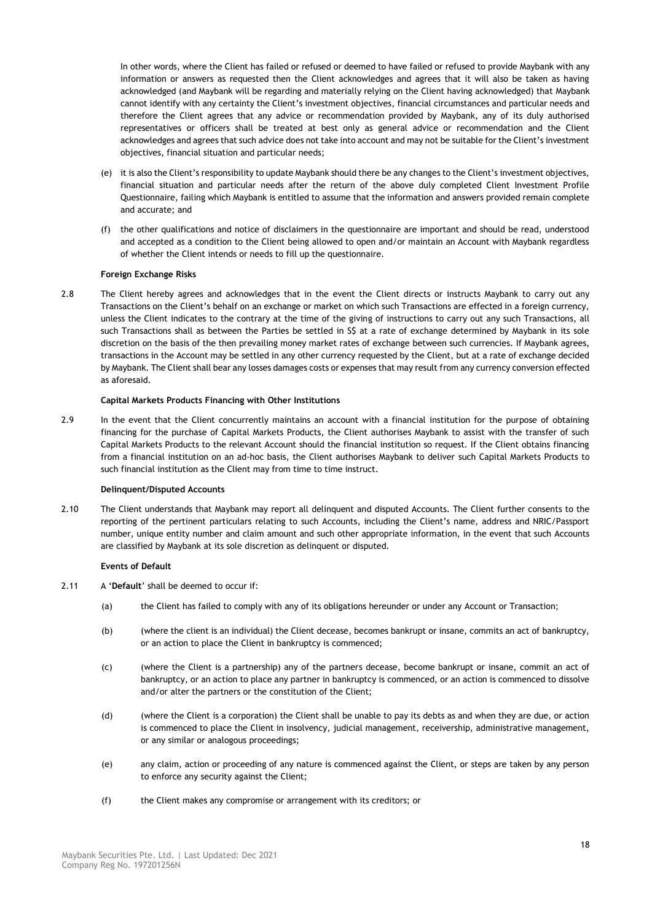In other words, where the Client has failed or refused or deemed to have failed or refused to provide Maybank with any information or answers as requested then the Client acknowledges and agrees that it will also be taken as having acknowledged (and Maybank will be regarding and materially relying on the Client having acknowledged) that Maybank cannot identify with any certainty the Client's investment objectives, financial circumstances and particular needs and therefore the Client agrees that any advice or recommendation provided by Maybank, any of its duly authorised representatives or officers shall be treated at best only as general advice or recommendation and the Client acknowledges and agrees that such advice does not take into account and may not be suitable for the Client's investment objectives, financial situation and particular needs;

- (e) it is also the Client's responsibility to update Maybank should there be any changes to the Client's investment objectives, financial situation and particular needs after the return of the above duly completed Client Investment Profile Questionnaire, failing which Maybank is entitled to assume that the information and answers provided remain complete and accurate; and
- (f) the other qualifications and notice of disclaimers in the questionnaire are important and should be read, understood and accepted as a condition to the Client being allowed to open and/or maintain an Account with Maybank regardless of whether the Client intends or needs to fill up the questionnaire.

# **Foreign Exchange Risks**

2.8 The Client hereby agrees and acknowledges that in the event the Client directs or instructs Maybank to carry out any Transactions on the Client's behalf on an exchange or market on which such Transactions are effected in a foreign currency, unless the Client indicates to the contrary at the time of the giving of instructions to carry out any such Transactions, all such Transactions shall as between the Parties be settled in S\$ at a rate of exchange determined by Maybank in its sole discretion on the basis of the then prevailing money market rates of exchange between such currencies. If Maybank agrees, transactions in the Account may be settled in any other currency requested by the Client, but at a rate of exchange decided by Maybank. The Client shall bear any losses damages costs or expenses that may result from any currency conversion effected as aforesaid.

# **Capital Markets Products Financing with Other Institutions**

2.9 In the event that the Client concurrently maintains an account with a financial institution for the purpose of obtaining financing for the purchase of Capital Markets Products, the Client authorises Maybank to assist with the transfer of such Capital Markets Products to the relevant Account should the financial institution so request. If the Client obtains financing from a financial institution on an ad-hoc basis, the Client authorises Maybank to deliver such Capital Markets Products to such financial institution as the Client may from time to time instruct.

# **Delinquent/Disputed Accounts**

2.10 The Client understands that Maybank may report all delinquent and disputed Accounts. The Client further consents to the reporting of the pertinent particulars relating to such Accounts, including the Client's name, address and NRIC/Passport number, unique entity number and claim amount and such other appropriate information, in the event that such Accounts are classified by Maybank at its sole discretion as delinquent or disputed.

# **Events of Default**

- <span id="page-17-0"></span>2.11 A '**Default**' shall be deemed to occur if:
	- (a) the Client has failed to comply with any of its obligations hereunder or under any Account or Transaction;
	- (b) (where the client is an individual) the Client decease, becomes bankrupt or insane, commits an act of bankruptcy, or an action to place the Client in bankruptcy is commenced;
	- (c) (where the Client is a partnership) any of the partners decease, become bankrupt or insane, commit an act of bankruptcy, or an action to place any partner in bankruptcy is commenced, or an action is commenced to dissolve and/or alter the partners or the constitution of the Client;
	- (d) (where the Client is a corporation) the Client shall be unable to pay its debts as and when they are due, or action is commenced to place the Client in insolvency, judicial management, receivership, administrative management, or any similar or analogous proceedings;
	- (e) any claim, action or proceeding of any nature is commenced against the Client, or steps are taken by any person to enforce any security against the Client;
	- (f) the Client makes any compromise or arrangement with its creditors; or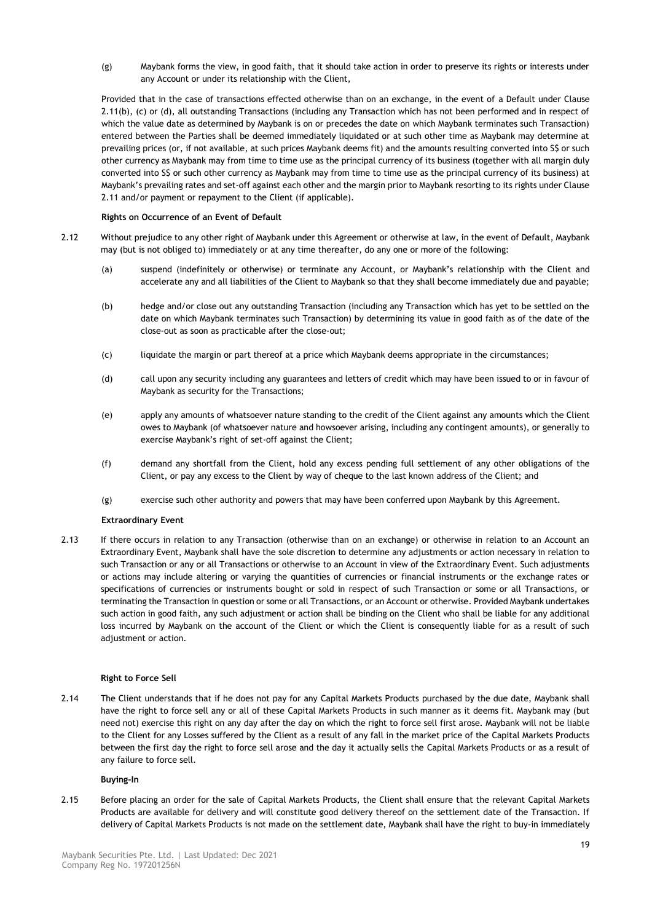(g) Maybank forms the view, in good faith, that it should take action in order to preserve its rights or interests under any Account or under its relationship with the Client,

Provided that in the case of transactions effected otherwise than on an exchange, in the event of a Default under Clause [2.11\(](#page-17-0)b), (c) or (d), all outstanding Transactions (including any Transaction which has not been performed and in respect of which the value date as determined by Maybank is on or precedes the date on which Maybank terminates such Transaction) entered between the Parties shall be deemed immediately liquidated or at such other time as Maybank may determine at prevailing prices (or, if not available, at such prices Maybank deems fit) and the amounts resulting converted into S\$ or such other currency as Maybank may from time to time use as the principal currency of its business (together with all margin duly converted into S\$ or such other currency as Maybank may from time to time use as the principal currency of its business) at Maybank's prevailing rates and set-off against each other and the margin prior to Maybank resorting to its rights under Clause [2.11](#page-17-0) and/or payment or repayment to the Client (if applicable).

# **Rights on Occurrence of an Event of Default**

- 2.12 Without prejudice to any other right of Maybank under this Agreement or otherwise at law, in the event of Default, Maybank may (but is not obliged to) immediately or at any time thereafter, do any one or more of the following:
	- (a) suspend (indefinitely or otherwise) or terminate any Account, or Maybank's relationship with the Client and accelerate any and all liabilities of the Client to Maybank so that they shall become immediately due and payable;
	- (b) hedge and/or close out any outstanding Transaction (including any Transaction which has yet to be settled on the date on which Maybank terminates such Transaction) by determining its value in good faith as of the date of the close-out as soon as practicable after the close-out;
	- (c) liquidate the margin or part thereof at a price which Maybank deems appropriate in the circumstances;
	- (d) call upon any security including any guarantees and letters of credit which may have been issued to or in favour of Maybank as security for the Transactions;
	- (e) apply any amounts of whatsoever nature standing to the credit of the Client against any amounts which the Client owes to Maybank (of whatsoever nature and howsoever arising, including any contingent amounts), or generally to exercise Maybank's right of set-off against the Client;
	- (f) demand any shortfall from the Client, hold any excess pending full settlement of any other obligations of the Client, or pay any excess to the Client by way of cheque to the last known address of the Client; and
	- (g) exercise such other authority and powers that may have been conferred upon Maybank by this Agreement.

# **Extraordinary Event**

2.13 If there occurs in relation to any Transaction (otherwise than on an exchange) or otherwise in relation to an Account an Extraordinary Event, Maybank shall have the sole discretion to determine any adjustments or action necessary in relation to such Transaction or any or all Transactions or otherwise to an Account in view of the Extraordinary Event. Such adjustments or actions may include altering or varying the quantities of currencies or financial instruments or the exchange rates or specifications of currencies or instruments bought or sold in respect of such Transaction or some or all Transactions, or terminating the Transaction in question or some or all Transactions, or an Account or otherwise. Provided Maybank undertakes such action in good faith, any such adjustment or action shall be binding on the Client who shall be liable for any additional loss incurred by Maybank on the account of the Client or which the Client is consequently liable for as a result of such adjustment or action.

# **Right to Force Sell**

2.14 The Client understands that if he does not pay for any Capital Markets Products purchased by the due date, Maybank shall have the right to force sell any or all of these Capital Markets Products in such manner as it deems fit. Maybank may (but need not) exercise this right on any day after the day on which the right to force sell first arose. Maybank will not be liable to the Client for any Losses suffered by the Client as a result of any fall in the market price of the Capital Markets Products between the first day the right to force sell arose and the day it actually sells the Capital Markets Products or as a result of any failure to force sell.

# **Buying-In**

2.15 Before placing an order for the sale of Capital Markets Products, the Client shall ensure that the relevant Capital Markets Products are available for delivery and will constitute good delivery thereof on the settlement date of the Transaction. If delivery of Capital Markets Products is not made on the settlement date, Maybank shall have the right to buy-in immediately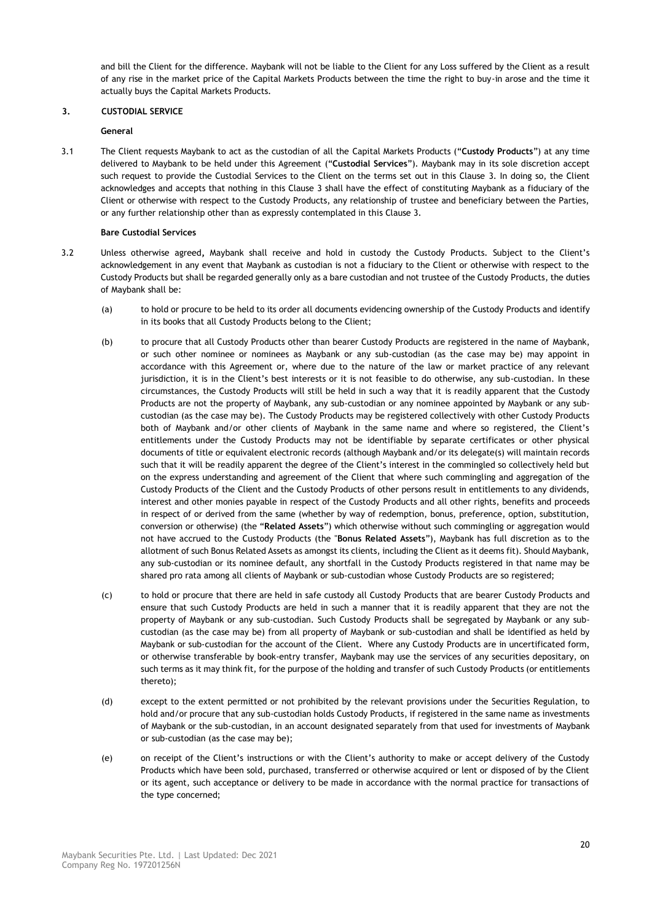and bill the Client for the difference. Maybank will not be liable to the Client for any Loss suffered by the Client as a result of any rise in the market price of the Capital Markets Products between the time the right to buy-in arose and the time it actually buys the Capital Markets Products.

# <span id="page-19-0"></span>**3. CUSTODIAL SERVICE**

# **General**

3.1 The Client requests Maybank to act as the custodian of all the Capital Markets Products ("**Custody Products**") at any time delivered to Maybank to be held under this Agreement ("**Custodial Services**"). Maybank may in its sole discretion accept such request to provide the Custodial Services to the Client on the terms set out in this Clause [3.](#page-19-0) In doing so, the Client acknowledges and accepts that nothing in this Clause [3](#page-19-0) shall have the effect of constituting Maybank as a fiduciary of the Client or otherwise with respect to the Custody Products, any relationship of trustee and beneficiary between the Parties, or any further relationship other than as expressly contemplated in this Claus[e 3.](#page-19-0)

# **Bare Custodial Services**

- <span id="page-19-1"></span>3.2 Unless otherwise agreed**,** Maybank shall receive and hold in custody the Custody Products. Subject to the Client's acknowledgement in any event that Maybank as custodian is not a fiduciary to the Client or otherwise with respect to the Custody Products but shall be regarded generally only as a bare custodian and not trustee of the Custody Products, the duties of Maybank shall be:
	- (a) to hold or procure to be held to its order all documents evidencing ownership of the Custody Products and identify in its books that all Custody Products belong to the Client;
	- (b) to procure that all Custody Products other than bearer Custody Products are registered in the name of Maybank, or such other nominee or nominees as Maybank or any sub-custodian (as the case may be) may appoint in accordance with this Agreement or, where due to the nature of the law or market practice of any relevant jurisdiction, it is in the Client's best interests or it is not feasible to do otherwise, any sub-custodian. In these circumstances, the Custody Products will still be held in such a way that it is readily apparent that the Custody Products are not the property of Maybank, any sub-custodian or any nominee appointed by Maybank or any subcustodian (as the case may be). The Custody Products may be registered collectively with other Custody Products both of Maybank and/or other clients of Maybank in the same name and where so registered, the Client's entitlements under the Custody Products may not be identifiable by separate certificates or other physical documents of title or equivalent electronic records (although Maybank and/or its delegate(s) will maintain records such that it will be readily apparent the degree of the Client's interest in the commingled so collectively held but on the express understanding and agreement of the Client that where such commingling and aggregation of the Custody Products of the Client and the Custody Products of other persons result in entitlements to any dividends, interest and other monies payable in respect of the Custody Products and all other rights, benefits and proceeds in respect of or derived from the same (whether by way of redemption, bonus, preference, option, substitution, conversion or otherwise) (the "**Related Assets**") which otherwise without such commingling or aggregation would not have accrued to the Custody Products (the "**Bonus Related Assets**"), Maybank has full discretion as to the allotment of such Bonus Related Assets as amongst its clients, including the Client as it deems fit). Should Maybank, any sub-custodian or its nominee default, any shortfall in the Custody Products registered in that name may be shared pro rata among all clients of Maybank or sub-custodian whose Custody Products are so registered;
	- (c) to hold or procure that there are held in safe custody all Custody Products that are bearer Custody Products and ensure that such Custody Products are held in such a manner that it is readily apparent that they are not the property of Maybank or any sub-custodian. Such Custody Products shall be segregated by Maybank or any subcustodian (as the case may be) from all property of Maybank or sub-custodian and shall be identified as held by Maybank or sub-custodian for the account of the Client. Where any Custody Products are in uncertificated form, or otherwise transferable by book-entry transfer, Maybank may use the services of any securities depositary, on such terms as it may think fit, for the purpose of the holding and transfer of such Custody Products (or entitlements thereto);
	- (d) except to the extent permitted or not prohibited by the relevant provisions under the Securities Regulation, to hold and/or procure that any sub-custodian holds Custody Products, if registered in the same name as investments of Maybank or the sub-custodian, in an account designated separately from that used for investments of Maybank or sub-custodian (as the case may be);
	- (e) on receipt of the Client's instructions or with the Client's authority to make or accept delivery of the Custody Products which have been sold, purchased, transferred or otherwise acquired or lent or disposed of by the Client or its agent, such acceptance or delivery to be made in accordance with the normal practice for transactions of the type concerned;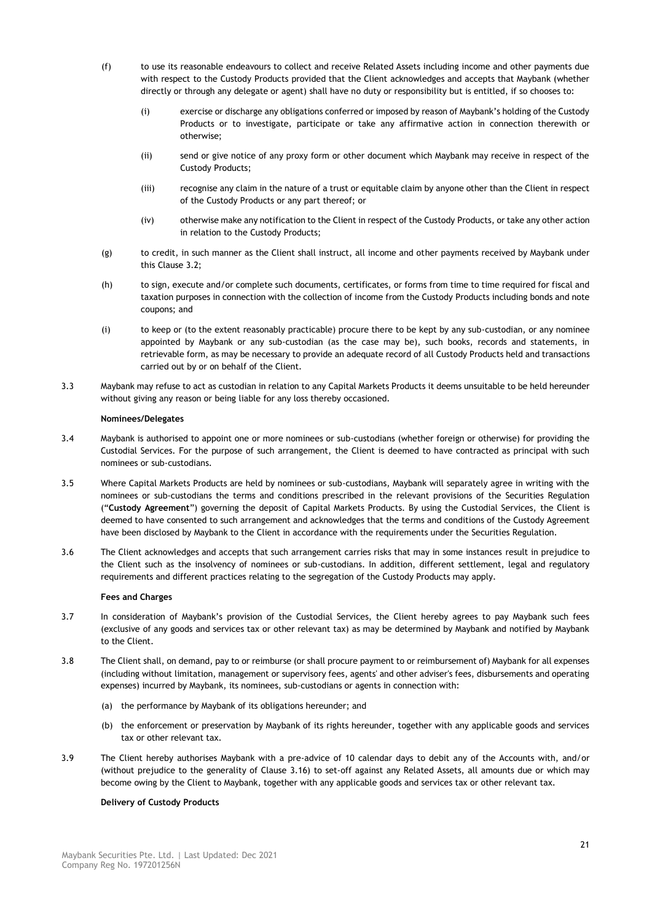- (f) to use its reasonable endeavours to collect and receive Related Assets including income and other payments due with respect to the Custody Products provided that the Client acknowledges and accepts that Maybank (whether directly or through any delegate or agent) shall have no duty or responsibility but is entitled, if so chooses to:
	- (i) exercise or discharge any obligations conferred or imposed by reason of Maybank's holding of the Custody Products or to investigate, participate or take any affirmative action in connection therewith or otherwise;
	- (ii) send or give notice of any proxy form or other document which Maybank may receive in respect of the Custody Products;
	- (iii) recognise any claim in the nature of a trust or equitable claim by anyone other than the Client in respect of the Custody Products or any part thereof; or
	- (iv) otherwise make any notification to the Client in respect of the Custody Products, or take any other action in relation to the Custody Products;
- (g) to credit, in such manner as the Client shall instruct, all income and other payments received by Maybank under this Clause [3.2;](#page-19-1)
- (h) to sign, execute and/or complete such documents, certificates, or forms from time to time required for fiscal and taxation purposes in connection with the collection of income from the Custody Products including bonds and note coupons; and
- (i) to keep or (to the extent reasonably practicable) procure there to be kept by any sub-custodian, or any nominee appointed by Maybank or any sub-custodian (as the case may be), such books, records and statements, in retrievable form, as may be necessary to provide an adequate record of all Custody Products held and transactions carried out by or on behalf of the Client.
- 3.3 Maybank may refuse to act as custodian in relation to any Capital Markets Products it deems unsuitable to be held hereunder without giving any reason or being liable for any loss thereby occasioned.

# **Nominees/Delegates**

- 3.4 Maybank is authorised to appoint one or more nominees or sub-custodians (whether foreign or otherwise) for providing the Custodial Services. For the purpose of such arrangement, the Client is deemed to have contracted as principal with such nominees or sub-custodians.
- 3.5 Where Capital Markets Products are held by nominees or sub-custodians, Maybank will separately agree in writing with the nominees or sub-custodians the terms and conditions prescribed in the relevant provisions of the Securities Regulation ("**Custody Agreement**") governing the deposit of Capital Markets Products. By using the Custodial Services, the Client is deemed to have consented to such arrangement and acknowledges that the terms and conditions of the Custody Agreement have been disclosed by Maybank to the Client in accordance with the requirements under the Securities Regulation.
- 3.6 The Client acknowledges and accepts that such arrangement carries risks that may in some instances result in prejudice to the Client such as the insolvency of nominees or sub-custodians. In addition, different settlement, legal and regulatory requirements and different practices relating to the segregation of the Custody Products may apply.

# **Fees and Charges**

- 3.7 In consideration of Maybank's provision of the Custodial Services, the Client hereby agrees to pay Maybank such fees (exclusive of any goods and services tax or other relevant tax) as may be determined by Maybank and notified by Maybank to the Client.
- 3.8 The Client shall, on demand, pay to or reimburse (or shall procure payment to or reimbursement of) Maybank for all expenses (including without limitation, management or supervisory fees, agents' and other adviser's fees, disbursements and operating expenses) incurred by Maybank, its nominees, sub-custodians or agents in connection with:
	- (a) the performance by Maybank of its obligations hereunder; and
	- (b) the enforcement or preservation by Maybank of its rights hereunder, together with any applicable goods and services tax or other relevant tax.
- 3.9 The Client hereby authorises Maybank with a pre-advice of 10 calendar days to debit any of the Accounts with, and/or (without prejudice to the generality of Clause [3.16\)](#page-21-0) to set-off against any Related Assets, all amounts due or which may become owing by the Client to Maybank, together with any applicable goods and services tax or other relevant tax.

# **Delivery of Custody Products**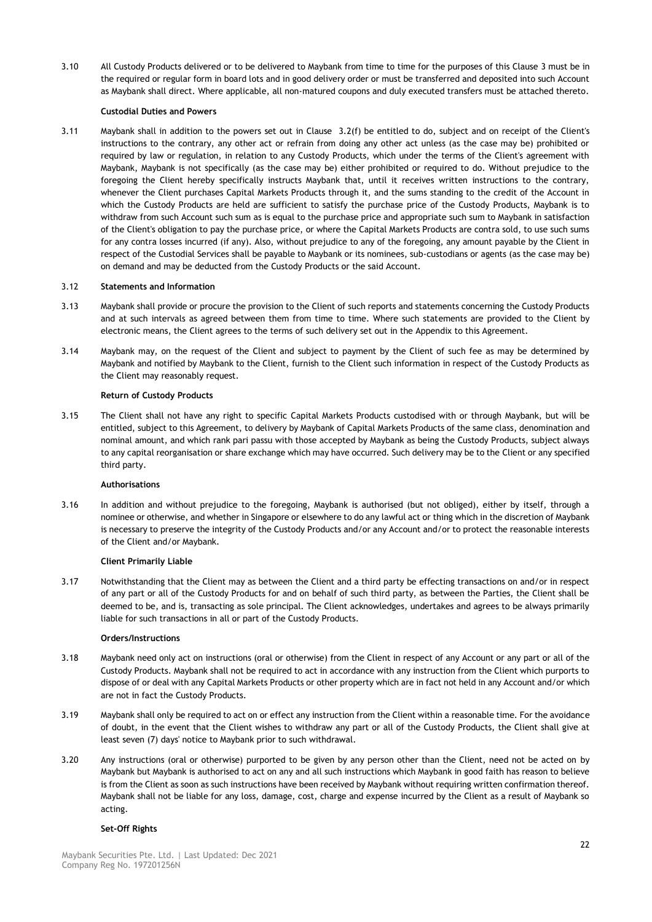3.10 All Custody Products delivered or to be delivered to Maybank from time to time for the purposes of this Clause [3](#page-19-0) must be in the required or regular form in board lots and in good delivery order or must be transferred and deposited into such Account as Maybank shall direct. Where applicable, all non-matured coupons and duly executed transfers must be attached thereto.

# **Custodial Duties and Powers**

3.11 Maybank shall in addition to the powers set out in Clause [3.2\(](#page-19-1)f) be entitled to do, subject and on receipt of the Client's instructions to the contrary, any other act or refrain from doing any other act unless (as the case may be) prohibited or required by law or regulation, in relation to any Custody Products, which under the terms of the Client's agreement with Maybank, Maybank is not specifically (as the case may be) either prohibited or required to do. Without prejudice to the foregoing the Client hereby specifically instructs Maybank that, until it receives written instructions to the contrary, whenever the Client purchases Capital Markets Products through it, and the sums standing to the credit of the Account in which the Custody Products are held are sufficient to satisfy the purchase price of the Custody Products, Maybank is to withdraw from such Account such sum as is equal to the purchase price and appropriate such sum to Maybank in satisfaction of the Client's obligation to pay the purchase price, or where the Capital Markets Products are contra sold, to use such sums for any contra losses incurred (if any). Also, without prejudice to any of the foregoing, any amount payable by the Client in respect of the Custodial Services shall be payable to Maybank or its nominees, sub-custodians or agents (as the case may be) on demand and may be deducted from the Custody Products or the said Account.

# 3.12 **Statements and Information**

- 3.13 Maybank shall provide or procure the provision to the Client of such reports and statements concerning the Custody Products and at such intervals as agreed between them from time to time. Where such statements are provided to the Client by electronic means, the Client agrees to the terms of such delivery set out in the Appendix to this Agreement.
- 3.14 Maybank may, on the request of the Client and subject to payment by the Client of such fee as may be determined by Maybank and notified by Maybank to the Client, furnish to the Client such information in respect of the Custody Products as the Client may reasonably request.

# **Return of Custody Products**

3.15 The Client shall not have any right to specific Capital Markets Products custodised with or through Maybank, but will be entitled, subject to this Agreement, to delivery by Maybank of Capital Markets Products of the same class, denomination and nominal amount, and which rank pari passu with those accepted by Maybank as being the Custody Products, subject always to any capital reorganisation or share exchange which may have occurred. Such delivery may be to the Client or any specified third party.

# **Authorisations**

<span id="page-21-0"></span>3.16 In addition and without prejudice to the foregoing, Maybank is authorised (but not obliged), either by itself, through a nominee or otherwise, and whether in Singapore or elsewhere to do any lawful act or thing which in the discretion of Maybank is necessary to preserve the integrity of the Custody Products and/or any Account and/or to protect the reasonable interests of the Client and/or Maybank.

# **Client Primarily Liable**

3.17 Notwithstanding that the Client may as between the Client and a third party be effecting transactions on and/or in respect of any part or all of the Custody Products for and on behalf of such third party, as between the Parties, the Client shall be deemed to be, and is, transacting as sole principal. The Client acknowledges, undertakes and agrees to be always primarily liable for such transactions in all or part of the Custody Products.

# **Orders/Instructions**

- 3.18 Maybank need only act on instructions (oral or otherwise) from the Client in respect of any Account or any part or all of the Custody Products. Maybank shall not be required to act in accordance with any instruction from the Client which purports to dispose of or deal with any Capital Markets Products or other property which are in fact not held in any Account and/or which are not in fact the Custody Products.
- 3.19 Maybank shall only be required to act on or effect any instruction from the Client within a reasonable time. For the avoidance of doubt, in the event that the Client wishes to withdraw any part or all of the Custody Products, the Client shall give at least seven (7) days' notice to Maybank prior to such withdrawal.
- 3.20 Any instructions (oral or otherwise) purported to be given by any person other than the Client, need not be acted on by Maybank but Maybank is authorised to act on any and all such instructions which Maybank in good faith has reason to believe is from the Client as soon as such instructions have been received by Maybank without requiring written confirmation thereof. Maybank shall not be liable for any loss, damage, cost, charge and expense incurred by the Client as a result of Maybank so acting.

# **Set-Off Rights**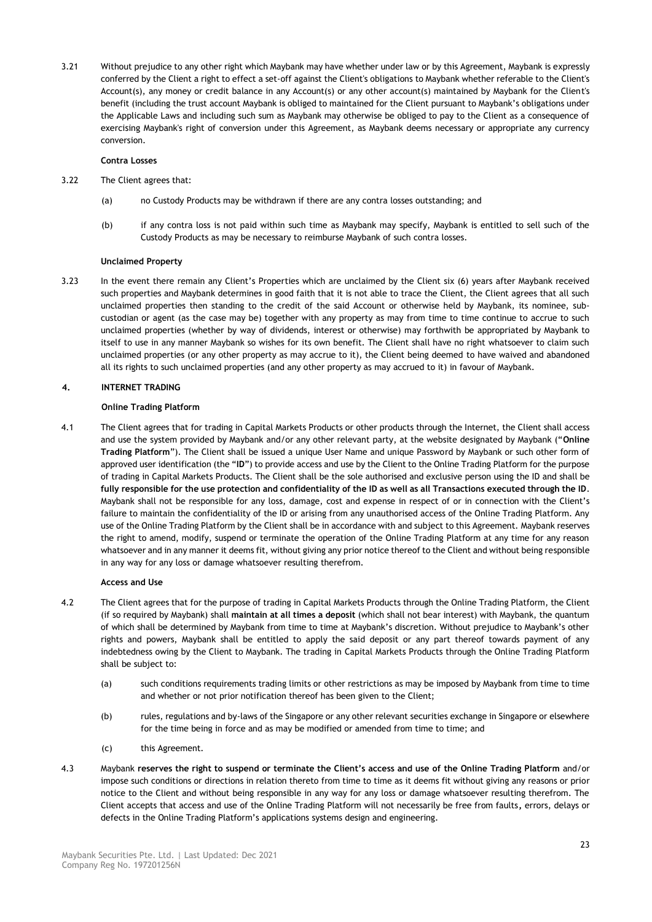3.21 Without prejudice to any other right which Maybank may have whether under law or by this Agreement, Maybank is expressly conferred by the Client a right to effect a set-off against the Client's obligations to Maybank whether referable to the Client's Account(s), any money or credit balance in any Account(s) or any other account(s) maintained by Maybank for the Client's benefit (including the trust account Maybank is obliged to maintained for the Client pursuant to Maybank's obligations under the Applicable Laws and including such sum as Maybank may otherwise be obliged to pay to the Client as a consequence of exercising Maybank's right of conversion under this Agreement, as Maybank deems necessary or appropriate any currency conversion.

# **Contra Losses**

- 3.22 The Client agrees that:
	- (a) no Custody Products may be withdrawn if there are any contra losses outstanding; and
	- (b) if any contra loss is not paid within such time as Maybank may specify, Maybank is entitled to sell such of the Custody Products as may be necessary to reimburse Maybank of such contra losses.

# **Unclaimed Property**

3.23 In the event there remain any Client's Properties which are unclaimed by the Client six (6) years after Maybank received such properties and Maybank determines in good faith that it is not able to trace the Client, the Client agrees that all such unclaimed properties then standing to the credit of the said Account or otherwise held by Maybank, its nominee, subcustodian or agent (as the case may be) together with any property as may from time to time continue to accrue to such unclaimed properties (whether by way of dividends, interest or otherwise) may forthwith be appropriated by Maybank to itself to use in any manner Maybank so wishes for its own benefit. The Client shall have no right whatsoever to claim such unclaimed properties (or any other property as may accrue to it), the Client being deemed to have waived and abandoned all its rights to such unclaimed properties (and any other property as may accrued to it) in favour of Maybank.

# **4. INTERNET TRADING**

# **Online Trading Platform**

<span id="page-22-0"></span>4.1 The Client agrees that for trading in Capital Markets Products or other products through the Internet, the Client shall access and use the system provided by Maybank and/or any other relevant party, at the website designated by Maybank ("**Online Trading Platform**"). The Client shall be issued a unique User Name and unique Password by Maybank or such other form of approved user identification (the "**ID**") to provide access and use by the Client to the Online Trading Platform for the purpose of trading in Capital Markets Products. The Client shall be the sole authorised and exclusive person using the ID and shall be **fully responsible for the use protection and confidentiality of the ID as well as all Transactions executed through the ID**. Maybank shall not be responsible for any loss, damage, cost and expense in respect of or in connection with the Client's failure to maintain the confidentiality of the ID or arising from any unauthorised access of the Online Trading Platform. Any use of the Online Trading Platform by the Client shall be in accordance with and subject to this Agreement. Maybank reserves the right to amend, modify, suspend or terminate the operation of the Online Trading Platform at any time for any reason whatsoever and in any manner it deems fit, without giving any prior notice thereof to the Client and without being responsible in any way for any loss or damage whatsoever resulting therefrom.

# **Access and Use**

- 4.2 The Client agrees that for the purpose of trading in Capital Markets Products through the Online Trading Platform, the Client (if so required by Maybank) shall **maintain at all times a deposit** (which shall not bear interest) with Maybank, the quantum of which shall be determined by Maybank from time to time at Maybank's discretion. Without prejudice to Maybank's other rights and powers, Maybank shall be entitled to apply the said deposit or any part thereof towards payment of any indebtedness owing by the Client to Maybank. The trading in Capital Markets Products through the Online Trading Platform shall be subject to:
	- (a) such conditions requirements trading limits or other restrictions as may be imposed by Maybank from time to time and whether or not prior notification thereof has been given to the Client;
	- (b) rules, regulations and by-laws of the Singapore or any other relevant securities exchange in Singapore or elsewhere for the time being in force and as may be modified or amended from time to time; and
	- (c) this Agreement.
- 4.3 Maybank **reserves the right to suspend or terminate the Client's access and use of the Online Trading Platform** and/or impose such conditions or directions in relation thereto from time to time as it deems fit without giving any reasons or prior notice to the Client and without being responsible in any way for any loss or damage whatsoever resulting therefrom. The Client accepts that access and use of the Online Trading Platform will not necessarily be free from faults**,** errors, delays or defects in the Online Trading Platform's applications systems design and engineering.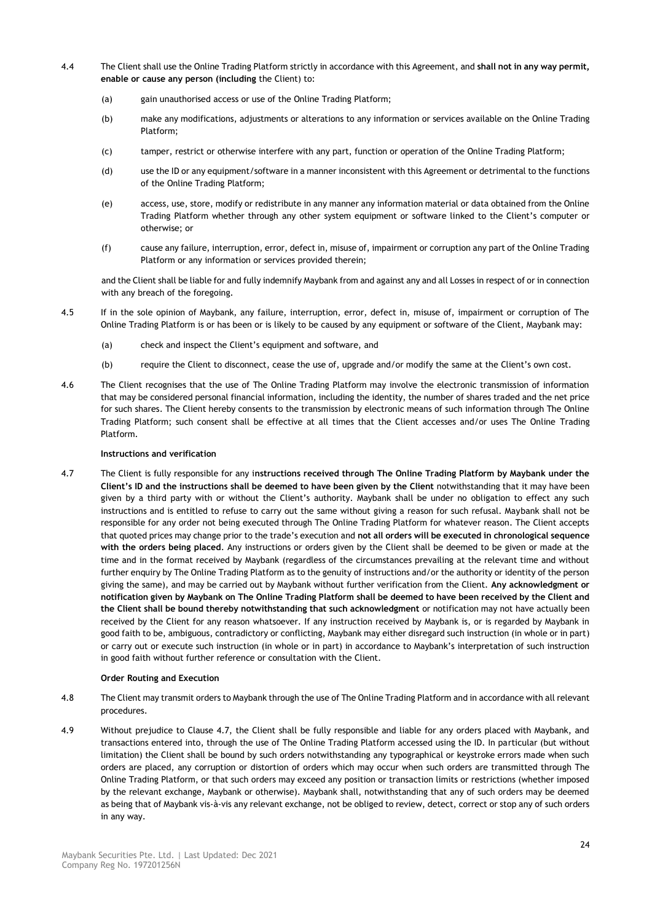- 4.4 The Client shall use the Online Trading Platform strictly in accordance with this Agreement, and **shall not in any way permit, enable or cause any person (including** the Client) to:
	- (a) gain unauthorised access or use of the Online Trading Platform;
	- (b) make any modifications, adjustments or alterations to any information or services available on the Online Trading Platform;
	- (c) tamper, restrict or otherwise interfere with any part, function or operation of the Online Trading Platform;
	- (d) use the ID or any equipment/software in a manner inconsistent with this Agreement or detrimental to the functions of the Online Trading Platform;
	- (e) access, use, store, modify or redistribute in any manner any information material or data obtained from the Online Trading Platform whether through any other system equipment or software linked to the Client's computer or otherwise; or
	- (f) cause any failure, interruption, error, defect in, misuse of, impairment or corruption any part of the Online Trading Platform or any information or services provided therein;

and the Client shall be liable for and fully indemnify Maybank from and against any and all Losses in respect of or in connection with any breach of the foregoing.

- 4.5 If in the sole opinion of Maybank, any failure, interruption, error, defect in, misuse of, impairment or corruption of The Online Trading Platform is or has been or is likely to be caused by any equipment or software of the Client, Maybank may:
	- (a) check and inspect the Client's equipment and software, and
	- (b) require the Client to disconnect, cease the use of, upgrade and/or modify the same at the Client's own cost.
- 4.6 The Client recognises that the use of The Online Trading Platform may involve the electronic transmission of information that may be considered personal financial information, including the identity, the number of shares traded and the net price for such shares. The Client hereby consents to the transmission by electronic means of such information through The Online Trading Platform; such consent shall be effective at all times that the Client accesses and/or uses The Online Trading Platform.

# **Instructions and verification**

<span id="page-23-0"></span>4.7 The Client is fully responsible for any i**nstructions received through The Online Trading Platform by Maybank under the Client's ID and the instructions shall be deemed to have been given by the Client** notwithstanding that it may have been given by a third party with or without the Client's authority. Maybank shall be under no obligation to effect any such instructions and is entitled to refuse to carry out the same without giving a reason for such refusal. Maybank shall not be responsible for any order not being executed through The Online Trading Platform for whatever reason. The Client accepts that quoted prices may change prior to the trade's execution and **not all orders will be executed in chronological sequence with the orders being placed**. Any instructions or orders given by the Client shall be deemed to be given or made at the time and in the format received by Maybank (regardless of the circumstances prevailing at the relevant time and without further enquiry by The Online Trading Platform as to the genuity of instructions and/or the authority or identity of the person giving the same), and may be carried out by Maybank without further verification from the Client. **Any acknowledgment or notification given by Maybank on The Online Trading Platform shall be deemed to have been received by the Client and the Client shall be bound thereby notwithstanding that such acknowledgment** or notification may not have actually been received by the Client for any reason whatsoever. If any instruction received by Maybank is, or is regarded by Maybank in good faith to be, ambiguous, contradictory or conflicting, Maybank may either disregard such instruction (in whole or in part) or carry out or execute such instruction (in whole or in part) in accordance to Maybank's interpretation of such instruction in good faith without further reference or consultation with the Client.

# **Order Routing and Execution**

- 4.8 The Client may transmit orders to Maybank through the use of The Online Trading Platform and in accordance with all relevant procedures.
- 4.9 Without prejudice to Clause [4.7,](#page-23-0) the Client shall be fully responsible and liable for any orders placed with Maybank, and transactions entered into, through the use of The Online Trading Platform accessed using the ID. In particular (but without limitation) the Client shall be bound by such orders notwithstanding any typographical or keystroke errors made when such orders are placed, any corruption or distortion of orders which may occur when such orders are transmitted through The Online Trading Platform, or that such orders may exceed any position or transaction limits or restrictions (whether imposed by the relevant exchange, Maybank or otherwise). Maybank shall, notwithstanding that any of such orders may be deemed as being that of Maybank vis-à-vis any relevant exchange, not be obliged to review, detect, correct or stop any of such orders in any way.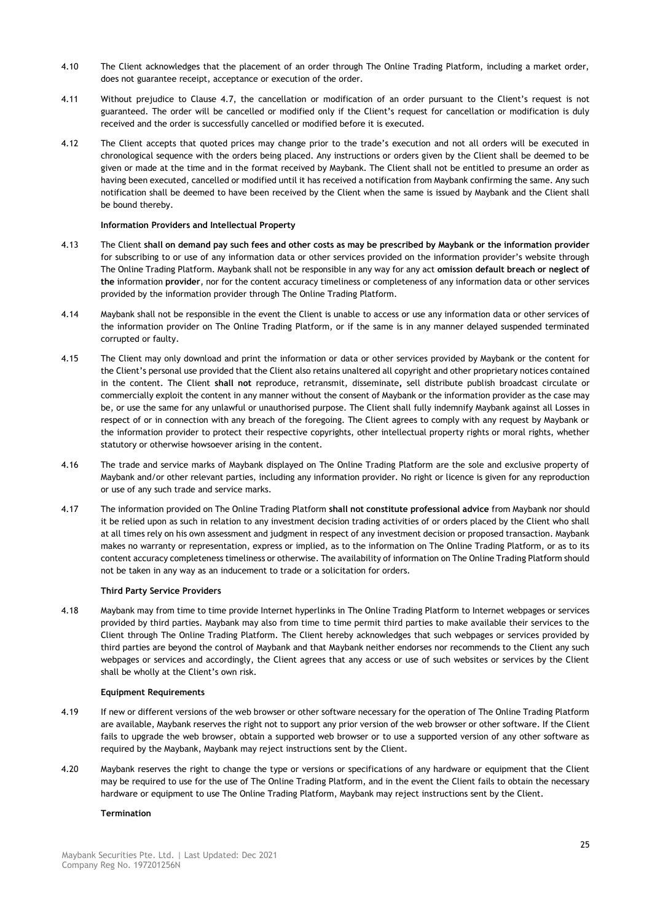- 4.10 The Client acknowledges that the placement of an order through The Online Trading Platform, including a market order, does not guarantee receipt, acceptance or execution of the order.
- 4.11 Without prejudice to Clause [4.7,](#page-23-0) the cancellation or modification of an order pursuant to the Client's request is not guaranteed. The order will be cancelled or modified only if the Client's request for cancellation or modification is duly received and the order is successfully cancelled or modified before it is executed.
- 4.12 The Client accepts that quoted prices may change prior to the trade's execution and not all orders will be executed in chronological sequence with the orders being placed. Any instructions or orders given by the Client shall be deemed to be given or made at the time and in the format received by Maybank. The Client shall not be entitled to presume an order as having been executed, cancelled or modified until it has received a notification from Maybank confirming the same. Any such notification shall be deemed to have been received by the Client when the same is issued by Maybank and the Client shall be bound thereby.

# **Information Providers and Intellectual Property**

- <span id="page-24-0"></span>4.13 The Client **shall on demand pay such fees and other costs as may be prescribed by Maybank or the information provider** for subscribing to or use of any information data or other services provided on the information provider's website through The Online Trading Platform. Maybank shall not be responsible in any way for any act **omission default breach or neglect of the** information **provider**, nor for the content accuracy timeliness or completeness of any information data or other services provided by the information provider through The Online Trading Platform.
- 4.14 Maybank shall not be responsible in the event the Client is unable to access or use any information data or other services of the information provider on The Online Trading Platform, or if the same is in any manner delayed suspended terminated corrupted or faulty.
- 4.15 The Client may only download and print the information or data or other services provided by Maybank or the content for the Client's personal use provided that the Client also retains unaltered all copyright and other proprietary notices contained in the content. The Client **shall not** reproduce, retransmit, disseminate**,** sell distribute publish broadcast circulate or commercially exploit the content in any manner without the consent of Maybank or the information provider as the case may be, or use the same for any unlawful or unauthorised purpose. The Client shall fully indemnify Maybank against all Losses in respect of or in connection with any breach of the foregoing. The Client agrees to comply with any request by Maybank or the information provider to protect their respective copyrights, other intellectual property rights or moral rights, whether statutory or otherwise howsoever arising in the content.
- 4.16 The trade and service marks of Maybank displayed on The Online Trading Platform are the sole and exclusive property of Maybank and/or other relevant parties, including any information provider. No right or licence is given for any reproduction or use of any such trade and service marks.
- 4.17 The information provided on The Online Trading Platform **shall not constitute professional advice** from Maybank nor should it be relied upon as such in relation to any investment decision trading activities of or orders placed by the Client who shall at all times rely on his own assessment and judgment in respect of any investment decision or proposed transaction. Maybank makes no warranty or representation, express or implied, as to the information on The Online Trading Platform, or as to its content accuracy completeness timeliness or otherwise. The availability of information on The Online Trading Platform should not be taken in any way as an inducement to trade or a solicitation for orders.

# **Third Party Service Providers**

4.18 Maybank may from time to time provide Internet hyperlinks in The Online Trading Platform to Internet webpages or services provided by third parties. Maybank may also from time to time permit third parties to make available their services to the Client through The Online Trading Platform. The Client hereby acknowledges that such webpages or services provided by third parties are beyond the control of Maybank and that Maybank neither endorses nor recommends to the Client any such webpages or services and accordingly, the Client agrees that any access or use of such websites or services by the Client shall be wholly at the Client's own risk.

# **Equipment Requirements**

- 4.19 If new or different versions of the web browser or other software necessary for the operation of The Online Trading Platform are available, Maybank reserves the right not to support any prior version of the web browser or other software. If the Client fails to upgrade the web browser, obtain a supported web browser or to use a supported version of any other software as required by the Maybank, Maybank may reject instructions sent by the Client.
- 4.20 Maybank reserves the right to change the type or versions or specifications of any hardware or equipment that the Client may be required to use for the use of The Online Trading Platform, and in the event the Client fails to obtain the necessary hardware or equipment to use The Online Trading Platform, Maybank may reject instructions sent by the Client.

# **Termination**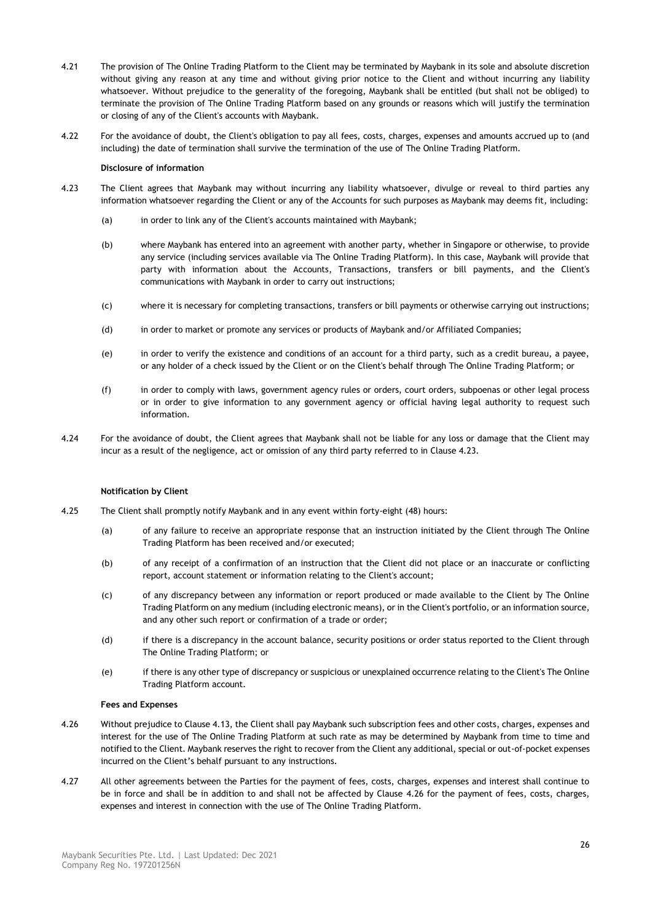- 4.21 The provision of The Online Trading Platform to the Client may be terminated by Maybank in its sole and absolute discretion without giving any reason at any time and without giving prior notice to the Client and without incurring any liability whatsoever. Without prejudice to the generality of the foregoing, Maybank shall be entitled (but shall not be obliged) to terminate the provision of The Online Trading Platform based on any grounds or reasons which will justify the termination or closing of any of the Client's accounts with Maybank.
- 4.22 For the avoidance of doubt, the Client's obligation to pay all fees, costs, charges, expenses and amounts accrued up to (and including) the date of termination shall survive the termination of the use of The Online Trading Platform.

# **Disclosure of information**

- <span id="page-25-0"></span>4.23 The Client agrees that Maybank may without incurring any liability whatsoever, divulge or reveal to third parties any information whatsoever regarding the Client or any of the Accounts for such purposes as Maybank may deems fit, including:
	- (a) in order to link any of the Client's accounts maintained with Maybank;
	- (b) where Maybank has entered into an agreement with another party, whether in Singapore or otherwise, to provide any service (including services available via The Online Trading Platform). In this case, Maybank will provide that party with information about the Accounts, Transactions, transfers or bill payments, and the Client's communications with Maybank in order to carry out instructions;
	- (c) where it is necessary for completing transactions, transfers or bill payments or otherwise carrying out instructions;
	- (d) in order to market or promote any services or products of Maybank and/or Affiliated Companies;
	- (e) in order to verify the existence and conditions of an account for a third party, such as a credit bureau, a payee, or any holder of a check issued by the Client or on the Client's behalf through The Online Trading Platform; or
	- (f) in order to comply with laws, government agency rules or orders, court orders, subpoenas or other legal process or in order to give information to any government agency or official having legal authority to request such information.
- 4.24 For the avoidance of doubt, the Client agrees that Maybank shall not be liable for any loss or damage that the Client may incur as a result of the negligence, act or omission of any third party referred to in Clause [4.23.](#page-25-0)

# **Notification by Client**

- 4.25 The Client shall promptly notify Maybank and in any event within forty-eight (48) hours:
	- (a) of any failure to receive an appropriate response that an instruction initiated by the Client through The Online Trading Platform has been received and/or executed;
	- (b) of any receipt of a confirmation of an instruction that the Client did not place or an inaccurate or conflicting report, account statement or information relating to the Client's account;
	- (c) of any discrepancy between any information or report produced or made available to the Client by The Online Trading Platform on any medium (including electronic means), or in the Client's portfolio, or an information source, and any other such report or confirmation of a trade or order;
	- (d) if there is a discrepancy in the account balance, security positions or order status reported to the Client through The Online Trading Platform; or
	- (e) if there is any other type of discrepancy or suspicious or unexplained occurrence relating to the Client's The Online Trading Platform account.

# **Fees and Expenses**

- <span id="page-25-1"></span>4.26 Without prejudice to Claus[e 4.13,](#page-24-0) the Client shall pay Maybank such subscription fees and other costs, charges, expenses and interest for the use of The Online Trading Platform at such rate as may be determined by Maybank from time to time and notified to the Client. Maybank reserves the right to recover from the Client any additional, special or out-of-pocket expenses incurred on the Client's behalf pursuant to any instructions.
- 4.27 All other agreements between the Parties for the payment of fees, costs, charges, expenses and interest shall continue to be in force and shall be in addition to and shall not be affected by Clause [4.26](#page-25-1) for the payment of fees, costs, charges, expenses and interest in connection with the use of The Online Trading Platform.